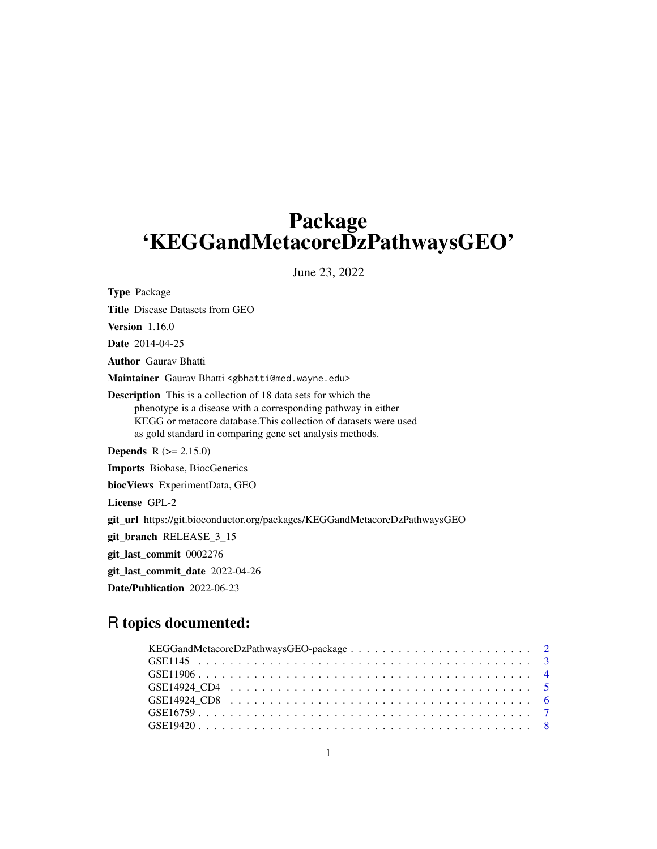## Package 'KEGGandMetacoreDzPathwaysGEO'

June 23, 2022

Type Package Title Disease Datasets from GEO Version 1.16.0 Date 2014-04-25 Author Gaurav Bhatti Maintainer Gaurav Bhatti <gbhatti@med.wayne.edu> Description This is a collection of 18 data sets for which the phenotype is a disease with a corresponding pathway in either KEGG or metacore database.This collection of datasets were used as gold standard in comparing gene set analysis methods. **Depends**  $R (= 2.15.0)$ Imports Biobase, BiocGenerics biocViews ExperimentData, GEO License GPL-2 git\_url https://git.bioconductor.org/packages/KEGGandMetacoreDzPathwaysGEO git\_branch RELEASE\_3\_15 git\_last\_commit 0002276 git\_last\_commit\_date 2022-04-26 Date/Publication 2022-06-23

### R topics documented: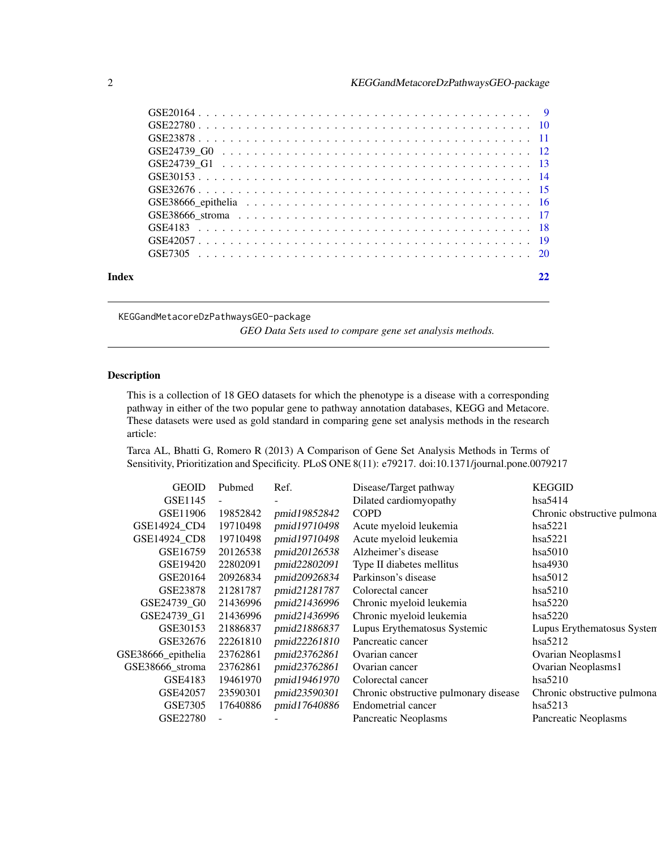<span id="page-1-0"></span>

| Index |  |
|-------|--|
|       |  |

KEGGandMetacoreDzPathwaysGEO-package

*GEO Data Sets used to compare gene set analysis methods.*

#### Description

This is a collection of 18 GEO datasets for which the phenotype is a disease with a corresponding pathway in either of the two popular gene to pathway annotation databases, KEGG and Metacore. These datasets were used as gold standard in comparing gene set analysis methods in the research article:

Tarca AL, Bhatti G, Romero R (2013) A Comparison of Gene Set Analysis Methods in Terms of Sensitivity, Prioritization and Specificity. PLoS ONE 8(11): e79217. doi:10.1371/journal.pone.0079217

| <b>GEOID</b>       | Pubmed   | Ref.         | Disease/Target pathway                | <b>KEGGID</b>               |
|--------------------|----------|--------------|---------------------------------------|-----------------------------|
| GSE1145            |          |              | Dilated cardiomyopathy                | hsa5414                     |
| GSE11906           | 19852842 | pmid19852842 | <b>COPD</b>                           | Chronic obstructive pulmona |
| GSE14924 CD4       | 19710498 | pmid19710498 | Acute myeloid leukemia                | hsa5221                     |
| GSE14924 CD8       | 19710498 | pmid19710498 | Acute myeloid leukemia                | hsa5221                     |
| GSE16759           | 20126538 | pmid20126538 | Alzheimer's disease                   | hsa5010                     |
| GSE19420           | 22802091 | pmid22802091 | Type II diabetes mellitus             | hsa4930                     |
| GSE20164           | 20926834 | pmid20926834 | Parkinson's disease                   | hsa5012                     |
| GSE23878           | 21281787 | pmid21281787 | Colorectal cancer                     | hsa5210                     |
| GSE24739 G0        | 21436996 | pmid21436996 | Chronic myeloid leukemia              | hsa5220                     |
| GSE24739 G1        | 21436996 | pmid21436996 | Chronic myeloid leukemia              | hsa5220                     |
| GSE30153           | 21886837 | pmid21886837 | Lupus Erythematosus Systemic          | Lupus Erythematosus System  |
| GSE32676           | 22261810 | pmid22261810 | Pancreatic cancer                     | hsa5212                     |
| GSE38666_epithelia | 23762861 | pmid23762861 | Ovarian cancer                        | Ovarian Neoplasms1          |
| GSE38666_stroma    | 23762861 | pmid23762861 | Ovarian cancer                        | Ovarian Neoplasms1          |
| GSE4183            | 19461970 | pmid19461970 | Colorectal cancer                     | hsa5210                     |
| GSE42057           | 23590301 | pmid23590301 | Chronic obstructive pulmonary disease | Chronic obstructive pulmona |
| GSE7305            | 17640886 | pmid17640886 | Endometrial cancer                    | hsa5213                     |
| GSE22780           |          |              | Pancreatic Neoplasms                  | Pancreatic Neoplasms        |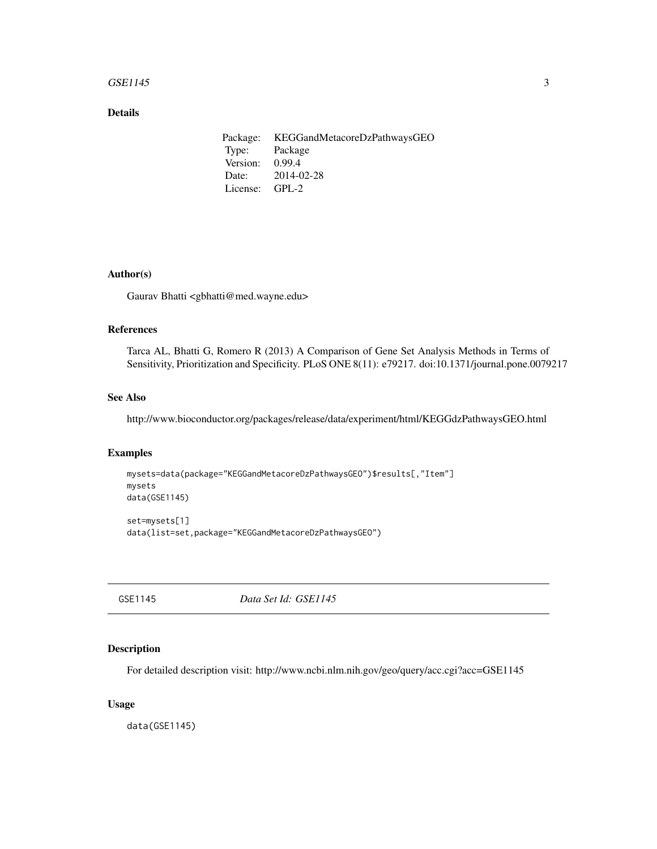#### <span id="page-2-0"></span> $GSE1145$  3

### Details

Package: KEGGandMetacoreDzPathwaysGEO Type: Package Version: 0.99.4 Date: 2014-02-28 License: GPL-2

#### Author(s)

Gaurav Bhatti <gbhatti@med.wayne.edu>

#### References

Tarca AL, Bhatti G, Romero R (2013) A Comparison of Gene Set Analysis Methods in Terms of Sensitivity, Prioritization and Specificity. PLoS ONE 8(11): e79217. doi:10.1371/journal.pone.0079217

#### See Also

http://www.bioconductor.org/packages/release/data/experiment/html/KEGGdzPathwaysGEO.html

#### Examples

```
mysets=data(package="KEGGandMetacoreDzPathwaysGEO")$results[,"Item"]
mysets
data(GSE1145)
set=mysets[1]
```
data(list=set,package="KEGGandMetacoreDzPathwaysGEO")

GSE1145 *Data Set Id: GSE1145*

#### Description

For detailed description visit: http://www.ncbi.nlm.nih.gov/geo/query/acc.cgi?acc=GSE1145

#### Usage

data(GSE1145)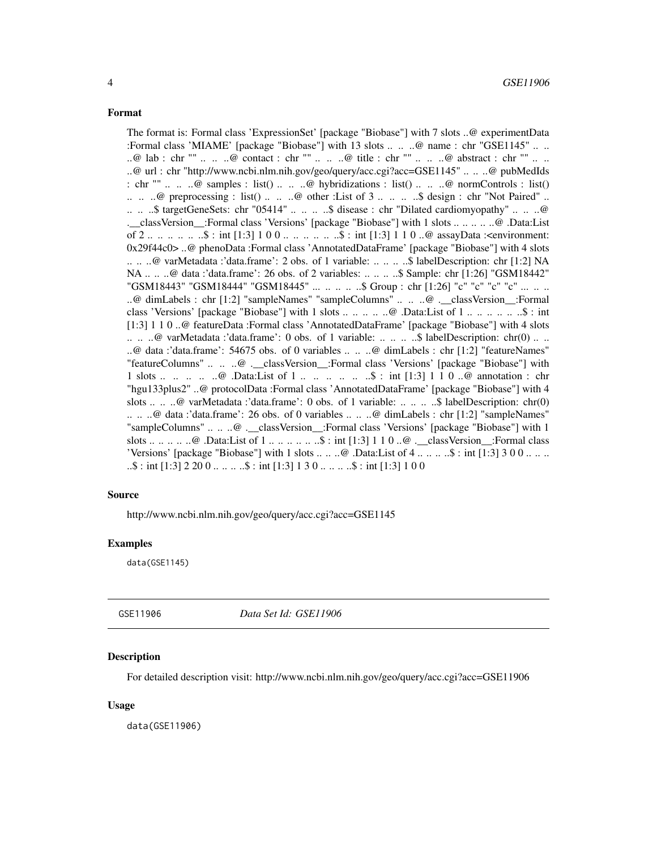<span id="page-3-0"></span>The format is: Formal class 'ExpressionSet' [package "Biobase"] with 7 slots ..@ experimentData :Formal class 'MIAME' [package "Biobase"] with 13 slots .. .. ..@ name : chr "GSE1145" .. .. ..@ lab : chr "" .. .. ..@ contact : chr "" .. .. ..@ title : chr "" .. .. ..@ abstract : chr "" .. .. ..@ url : chr "http://www.ncbi.nlm.nih.gov/geo/query/acc.cgi?acc=GSE1145" .. .. ..@ pubMedIds : chr ""  $\ldots$   $\ldots$   $\omega$  samples : list()  $\ldots$   $\ldots$   $\omega$  hybridizations : list()  $\ldots$   $\ldots$   $\omega$  normControls : list()  $\ldots$   $\ldots$   $\omega$  preprocessing : list()  $\ldots$   $\ldots$   $\omega$  other : List of 3  $\ldots$   $\ldots$   $\ldots$   $\omega$  design : chr "Not Paired"  $\ldots$ .. .. ..\$ targetGeneSets: chr "05414" .. .. .. ..\$ disease : chr "Dilated cardiomyopathy" .. .. ..@ .\_\_classVersion\_\_:Formal class 'Versions' [package "Biobase"] with 1 slots .. .. .. .. ..@ .Data:List of 2 .. .. .. .. .. \$ : int [1:3] 1 0 0 .. .. .. .. .. \$ : int [1:3] 1 1 0 ..@ assayData :<environment: 0x29f44c0> ..@ phenoData :Formal class 'AnnotatedDataFrame' [package "Biobase"] with 4 slots .. .. ..@ varMetadata :'data.frame': 2 obs. of 1 variable: .. .. .. ..\$ labelDescription: chr [1:2] NA NA .. .. ..@ data :'data.frame': 26 obs. of 2 variables: .. .. .. ..\$ Sample: chr [1:26] "GSM18442" "GSM18443" "GSM18444" "GSM18445" ... .. .. .. .. \$ Group : chr [1:26] "c" "c" "c" "c" ... .. .. ..@ dimLabels : chr [1:2] "sampleNames" "sampleColumns" .. .. ..@ .\_\_classVersion\_\_:Formal class 'Versions' [package "Biobase"] with 1 slots .. .. .. .. ..@ .Data:List of 1 .. .. .. .. .. ..\$ : int [1:3] 1 1 0 ..@ featureData :Formal class 'AnnotatedDataFrame' [package "Biobase"] with 4 slots .. .. ..@ varMetadata :'data.frame': 0 obs. of 1 variable: .. .. .. ..\$ labelDescription: chr(0) .. .. ..@ data :'data.frame': 54675 obs. of 0 variables .. .. ..@ dimLabels : chr [1:2] "featureNames" "featureColumns" .. .. ..@ .\_\_classVersion\_\_:Formal class 'Versions' [package "Biobase"] with 1 slots ... .. ..  $\mathbb{Q}$  Data:List of 1 ... ...  $\mathbb{Q}$  ...  $\mathbb{S}$  : int [1:3] 1 1 0 .. $\mathbb{Q}$  annotation : chr "hgu133plus2" ..@ protocolData :Formal class 'AnnotatedDataFrame' [package "Biobase"] with 4 slots .. .. ..@ varMetadata :'data.frame': 0 obs. of 1 variable: .. .. .. ..\$ labelDescription: chr(0) .. .. ..@ data :'data.frame': 26 obs. of 0 variables .. .. ..@ dimLabels : chr [1:2] "sampleNames" "sampleColumns" .. .. ..@ . classVersion :Formal class 'Versions' [package "Biobase"] with 1 slots .. .. .. .. ..@ .Data:List of 1 .. .. .. .. .. ..\$ : int [1:3] 1 1 0 ..@ .\_\_classVersion\_\_:Formal class 'Versions' [package "Biobase"] with 1 slots  $\dots \dots \omega$ . Data:List of 4  $\dots \dots \dots$ \$: int [1:3] 3 0 0  $\dots \dots$  $\ldots$ \$ : int [1:3] 2 20 0  $\ldots$  ...  $\ldots$ \$ : int [1:3] 1 3 0  $\ldots$  ...  $\ldots$ \$ : int [1:3] 1 0 0

#### Source

http://www.ncbi.nlm.nih.gov/geo/query/acc.cgi?acc=GSE1145

#### Examples

data(GSE1145)

GSE11906 *Data Set Id: GSE11906*

#### **Description**

For detailed description visit: http://www.ncbi.nlm.nih.gov/geo/query/acc.cgi?acc=GSE11906

#### Usage

data(GSE11906)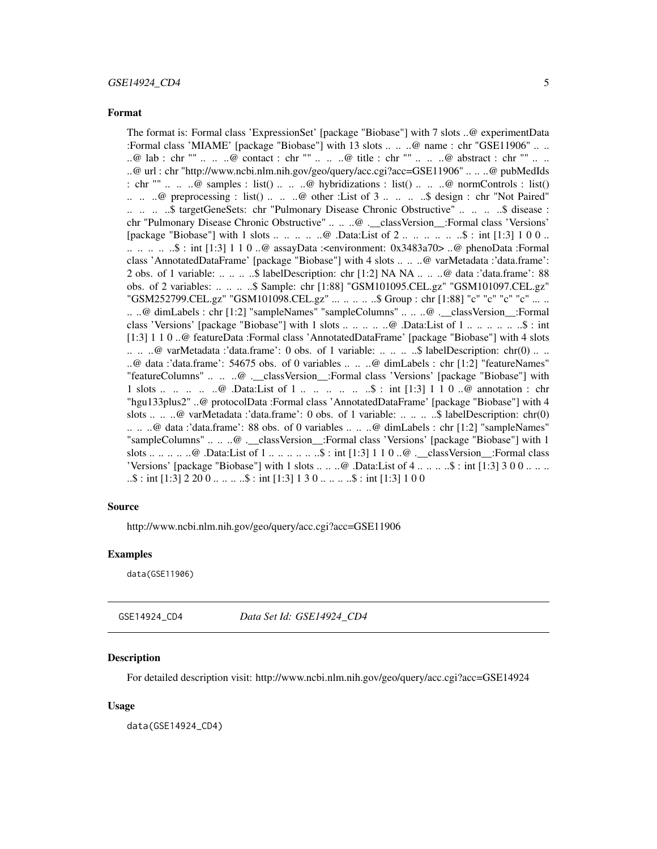<span id="page-4-0"></span>The format is: Formal class 'ExpressionSet' [package "Biobase"] with 7 slots ..@ experimentData :Formal class 'MIAME' [package "Biobase"] with 13 slots .. .. ..@ name : chr "GSE11906" .. .. ..@ lab : chr "" .. .. ..@ contact : chr "" .. .. ..@ title : chr "" .. .. ..@ abstract : chr "" .. .. ..@ url : chr "http://www.ncbi.nlm.nih.gov/geo/query/acc.cgi?acc=GSE11906" .. .. ..@ pubMedIds : chr ""  $\ldots$   $\ldots$   $\omega$  samples : list()  $\ldots$   $\ldots$   $\omega$  hybridizations : list()  $\ldots$   $\ldots$   $\omega$  normControls : list()  $\ldots$   $\ldots$   $\omega$  preprocessing : list()  $\ldots$   $\ldots$   $\omega$  other : List of 3  $\ldots$   $\ldots$   $\ldots$   $\omega$  design : chr "Not Paired" .. .. .. \$ targetGeneSets: chr "Pulmonary Disease Chronic Obstructive" .. .. .. \$ disease : chr "Pulmonary Disease Chronic Obstructive" .. .. ..@ .\_\_classVersion\_\_:Formal class 'Versions' [package "Biobase"] with 1 slots .. .. .. .. .. ..@ .Data:List of 2 .. .. .. .. .. ..\$ : int [1:3] 1 0 0 .. .. .. .. .. ..\$ : int [1:3] 1 1 0 ..@ assayData :<environment: 0x3483a70> ..@ phenoData :Formal class 'AnnotatedDataFrame' [package "Biobase"] with 4 slots .. .. ..@ varMetadata :'data.frame': 2 obs. of 1 variable: .. .. .. ..\$ labelDescription: chr [1:2] NA NA .. .. ..@ data :'data.frame': 88 obs. of 2 variables: .. .. .. ..\$ Sample: chr [1:88] "GSM101095.CEL.gz" "GSM101097.CEL.gz" "GSM252799.CEL.gz" "GSM101098.CEL.gz" ... .. .. .. ..\$ Group : chr [1:88] "c" "c" "c" "c" ... .. .. ..@ dimLabels : chr [1:2] "sampleNames" "sampleColumns" .. .. ..@ .\_\_classVersion\_\_:Formal class 'Versions' [package "Biobase"] with 1 slots .. .. .. .. ..@ .Data:List of 1 .. .. .. .. .. ..\$ : int [1:3] 1 1 0 ..@ featureData :Formal class 'AnnotatedDataFrame' [package "Biobase"] with 4 slots  $\ldots$   $\ldots$   $\omega$  varMetadata : data.frame': 0 obs. of 1 variable:  $\ldots$   $\ldots$   $\ldots$ \$ labelDescription: chr(0)  $\ldots$   $\ldots$ ..@ data :'data.frame': 54675 obs. of 0 variables .. .. ..@ dimLabels : chr [1:2] "featureNames" "featureColumns" .. .. ..@ . classVersion :Formal class 'Versions' [package "Biobase"] with 1 slots ... .. .. .. .@ .Data:List of 1 ... .. ... ... ..\$ : int [1:3] 1 1 0 ..@ annotation : chr "hgu133plus2" ..@ protocolData :Formal class 'AnnotatedDataFrame' [package "Biobase"] with 4 slots .. .. ..@ varMetadata :'data.frame': 0 obs. of 1 variable: .. .. ... \$ labelDescription: chr(0) .. .. ..@ data :'data.frame': 88 obs. of 0 variables .. .. ..@ dimLabels : chr [1:2] "sampleNames" "sampleColumns" .. .. ..@ .\_\_classVersion\_\_:Formal class 'Versions' [package "Biobase"] with 1 slots .. .. .. .. ..@ .Data:List of 1 .. .. .. .. .. ..\$ : int [1:3] 1 1 0 ..@ .\_\_classVersion\_\_:Formal class 'Versions' [package "Biobase"] with 1 slots  $\dots \dots \omega$ . Data:List of  $4 \dots \dots \dots \$  : int [1:3] 3 0 0  $\dots \dots$  $\ldots$ \$ : int [1:3] 2 20 0 ...  $\ldots$  ...\$ : int [1:3] 1 3 0 ...  $\ldots$  ...\$ : int [1:3] 1 0 0

#### Source

http://www.ncbi.nlm.nih.gov/geo/query/acc.cgi?acc=GSE11906

#### Examples

data(GSE11906)

GSE14924\_CD4 *Data Set Id: GSE14924\_CD4*

#### **Description**

For detailed description visit: http://www.ncbi.nlm.nih.gov/geo/query/acc.cgi?acc=GSE14924

#### Usage

data(GSE14924\_CD4)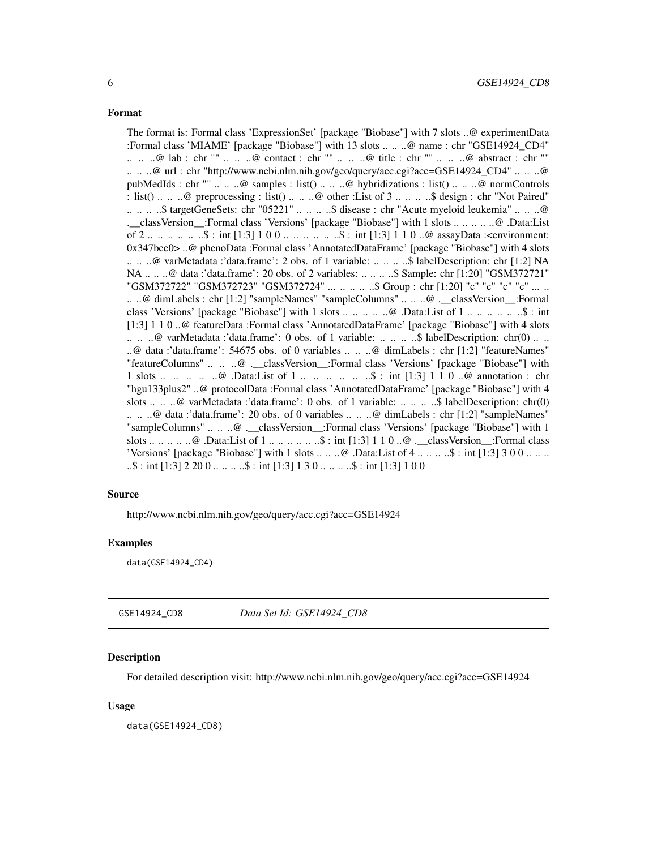<span id="page-5-0"></span>The format is: Formal class 'ExpressionSet' [package "Biobase"] with 7 slots ..@ experimentData :Formal class 'MIAME' [package "Biobase"] with 13 slots .. .. ..@ name : chr "GSE14924\_CD4" .. .. ..@ lab : chr "" .. .. ..@ contact : chr "" .. .. ..@ title : chr "" .. .. ..@ abstract : chr "" .. .. ..@ url : chr "http://www.ncbi.nlm.nih.gov/geo/query/acc.cgi?acc=GSE14924\_CD4" .. .. ..@ pubMedIds : chr "" .. .. ..@ samples : list() .. .. ..@ hybridizations : list() .. .. ..@ normControls : list() ... .. @ preprocessing : list() ... .. ..@ other :List of 3 ... .. ...\$ design : chr "Not Paired" .. .. .. ..\$ targetGeneSets: chr "05221" .. .. .. ..\$ disease : chr "Acute myeloid leukemia" .. .. ..@ .\_\_classVersion\_\_:Formal class 'Versions' [package "Biobase"] with 1 slots .. .. .. .. ..@ .Data:List of 2 .. .. .. .. .. ..\$ : int [1:3] 1 0 0 .. .. .. .. .. ..\$ : int [1:3] 1 1 0 ..@ assayData :<environment: 0x347bee0> ..@ phenoData :Formal class 'AnnotatedDataFrame' [package "Biobase"] with 4 slots .. .. ..@ varMetadata :'data.frame': 2 obs. of 1 variable: .. .. .. ..\$ labelDescription: chr [1:2] NA NA .. .. ..@ data :'data.frame': 20 obs. of 2 variables: .. .. .. ..\$ Sample: chr [1:20] "GSM372721" "GSM372722" "GSM372723" "GSM372724" ... .. .. .. ..\$ Group : chr [1:20] "c" "c" "c" "c" ... .. .. ..@ dimLabels : chr [1:2] "sampleNames" "sampleColumns" .. .. ..@ .\_\_classVersion\_\_:Formal class 'Versions' [package "Biobase"] with 1 slots .. .. .. .. ..@ .Data:List of 1 .. .. .. .. .. ..\$ : int [1:3] 1 1 0 ..@ featureData :Formal class 'AnnotatedDataFrame' [package "Biobase"] with 4 slots .. .. ..@ varMetadata :'data.frame': 0 obs. of 1 variable: .. .. .. ..\$ labelDescription: chr(0) .. .. ..@ data :'data.frame': 54675 obs. of 0 variables .. .. ..@ dimLabels : chr [1:2] "featureNames" "featureColumns" .. .. ..@ .\_\_classVersion\_\_:Formal class 'Versions' [package "Biobase"] with 1 slots ... .. ..  $\mathbb{Q}$  Data:List of 1 ... ...  $\mathbb{Q}$  ...  $\mathbb{S}$  : int [1:3] 1 1 0 .. $\mathbb{Q}$  annotation : chr "hgu133plus2" ..@ protocolData :Formal class 'AnnotatedDataFrame' [package "Biobase"] with 4 slots .. .. ..@ varMetadata :'data.frame': 0 obs. of 1 variable: .. .. ...\$ labelDescription: chr(0) .. .. ..@ data :'data.frame': 20 obs. of 0 variables .. .. ..@ dimLabels : chr [1:2] "sampleNames" "sampleColumns" .. .. ..@ . classVersion :Formal class 'Versions' [package "Biobase"] with 1 slots .. .. .. .. ..@ .Data:List of 1 .. .. .. .. .. ..\$ : int [1:3] 1 1 0 ..@ .\_\_classVersion\_\_:Formal class 'Versions' [package "Biobase"] with 1 slots  $\dots \dots \omega$ . Data:List of 4  $\dots \dots \dots$ \$ : int [1:3] 3 0 0  $\dots \dots$  $\ldots$ \$ : int [1:3] 2 20 0  $\ldots$  ...  $\ldots$ \$ : int [1:3] 1 3 0  $\ldots$  ...  $\ldots$ \$ : int [1:3] 1 0 0

#### Source

http://www.ncbi.nlm.nih.gov/geo/query/acc.cgi?acc=GSE14924

#### Examples

data(GSE14924\_CD4)

GSE14924\_CD8 *Data Set Id: GSE14924\_CD8*

#### Description

For detailed description visit: http://www.ncbi.nlm.nih.gov/geo/query/acc.cgi?acc=GSE14924

#### Usage

data(GSE14924\_CD8)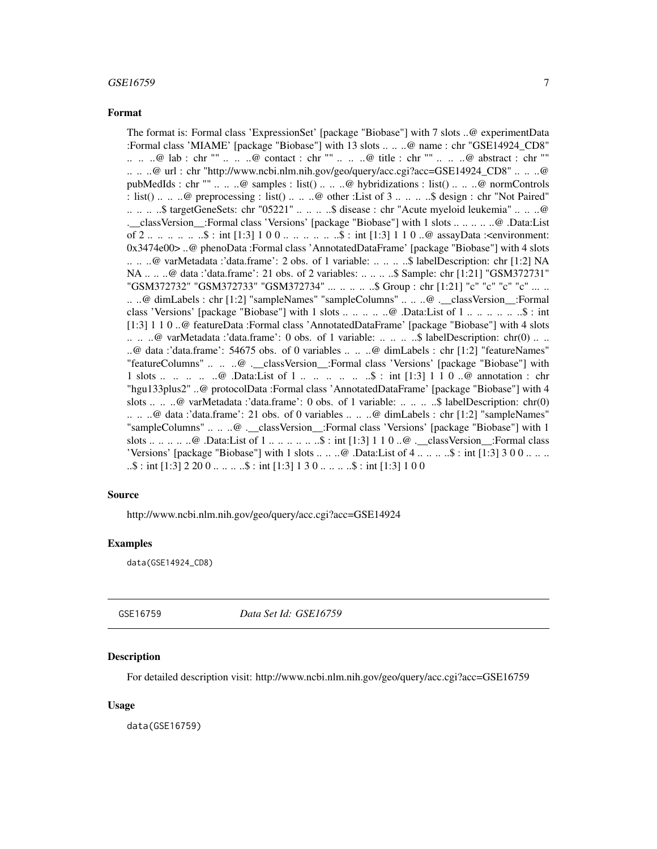<span id="page-6-0"></span>The format is: Formal class 'ExpressionSet' [package "Biobase"] with 7 slots ..@ experimentData :Formal class 'MIAME' [package "Biobase"] with 13 slots .. .. ..@ name : chr "GSE14924\_CD8" .. .. ..@ lab : chr "" .. .. ..@ contact : chr "" .. .. ..@ title : chr "" .. .. ..@ abstract : chr "" .. .. ..@ url : chr "http://www.ncbi.nlm.nih.gov/geo/query/acc.cgi?acc=GSE14924\_CD8" .. .. ..@ pubMedIds : chr "" .. .. ..@ samples : list() .. .. ..@ hybridizations : list() .. .. ..@ normControls : list() ... .. @ preprocessing : list() ... .. ..@ other :List of 3 ... .. ...\$ design : chr "Not Paired" .. .. .. ..\$ targetGeneSets: chr "05221" .. .. .. ..\$ disease : chr "Acute myeloid leukemia" .. .. ..@ .\_\_classVersion\_\_:Formal class 'Versions' [package "Biobase"] with 1 slots .. .. .. .. ..@ .Data:List of 2 .. .. .. .. .. ..\$ : int [1:3] 1 0 0 .. .. .. .. .. ..\$ : int [1:3] 1 1 0 ..@ assayData :<environment: 0x3474e00> ..@ phenoData :Formal class 'AnnotatedDataFrame' [package "Biobase"] with 4 slots .. .. ..@ varMetadata :'data.frame': 2 obs. of 1 variable: .. .. .. ..\$ labelDescription: chr [1:2] NA NA .. .. ..@ data :'data.frame': 21 obs. of 2 variables: .. .. .. ..\$ Sample: chr [1:21] "GSM372731" "GSM372732" "GSM372733" "GSM372734" ... .. .. .. ..\$ Group : chr [1:21] "c" "c" "c" "c" ... .. .. ..@ dimLabels : chr [1:2] "sampleNames" "sampleColumns" .. .. ..@ .\_\_classVersion\_\_:Formal class 'Versions' [package "Biobase"] with 1 slots .. .. .. .. ..@ .Data:List of 1 .. .. .. .. .. ..\$ : int [1:3] 1 1 0 ..@ featureData :Formal class 'AnnotatedDataFrame' [package "Biobase"] with 4 slots .. .. ..@ varMetadata :'data.frame': 0 obs. of 1 variable: .. .. .. ..\$ labelDescription: chr(0) .. .. ..@ data :'data.frame': 54675 obs. of 0 variables .. .. ..@ dimLabels : chr [1:2] "featureNames" "featureColumns" .. .. ..@ .\_\_classVersion\_\_:Formal class 'Versions' [package "Biobase"] with 1 slots ... .. ..  $\mathbb{Q}$  Data:List of 1 ... ...  $\mathbb{Q}$  ...  $\mathbb{S}$  : int [1:3] 1 1 0 .. $\mathbb{Q}$  annotation : chr "hgu133plus2" ..@ protocolData :Formal class 'AnnotatedDataFrame' [package "Biobase"] with 4 slots .. .. ..@ varMetadata :'data.frame': 0 obs. of 1 variable: .. .. .. ..\$ labelDescription: chr(0) .. .. ..@ data :'data.frame': 21 obs. of 0 variables .. .. ..@ dimLabels : chr [1:2] "sampleNames" "sampleColumns" .. .. ..@ . classVersion :Formal class 'Versions' [package "Biobase"] with 1 slots .. .. .. .. ..@ .Data:List of 1 .. .. .. .. .. ..\$ : int [1:3] 1 1 0 ..@ .\_\_classVersion\_\_:Formal class 'Versions' [package "Biobase"] with 1 slots  $\dots \dots \omega$ . Data:List of 4  $\dots \dots \dots$ \$ : int [1:3] 3 0 0  $\dots \dots$  $\ldots$ \$ : int [1:3] 2 20 0  $\ldots$  ...  $\ldots$ \$ : int [1:3] 1 3 0  $\ldots$  ...  $\ldots$ \$ : int [1:3] 1 0 0

#### Source

http://www.ncbi.nlm.nih.gov/geo/query/acc.cgi?acc=GSE14924

#### Examples

data(GSE14924\_CD8)

GSE16759 *Data Set Id: GSE16759*

#### **Description**

For detailed description visit: http://www.ncbi.nlm.nih.gov/geo/query/acc.cgi?acc=GSE16759

#### Usage

data(GSE16759)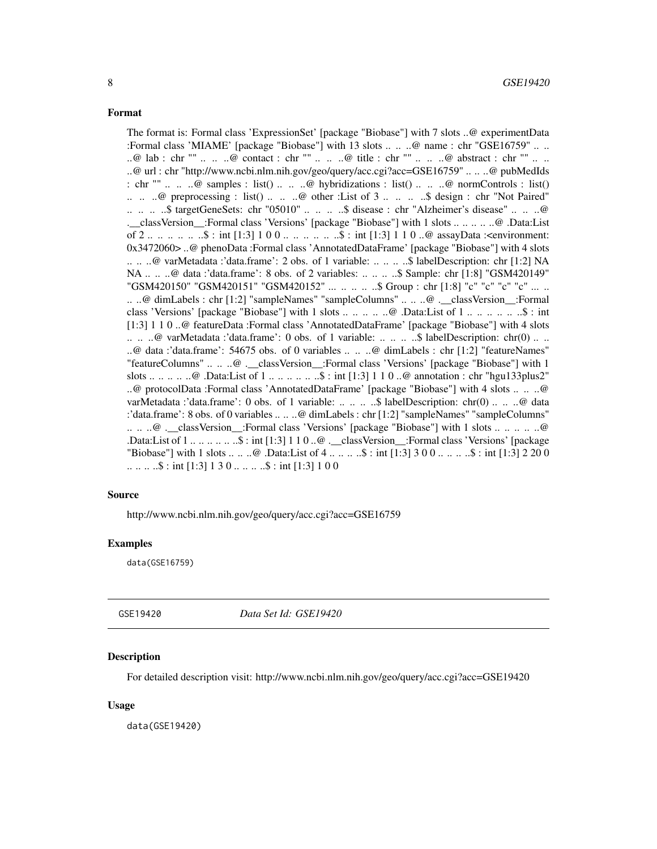<span id="page-7-0"></span>The format is: Formal class 'ExpressionSet' [package "Biobase"] with 7 slots ..@ experimentData :Formal class 'MIAME' [package "Biobase"] with 13 slots .. .. ..@ name : chr "GSE16759" .. .. ..@ lab : chr "" .. .. ..@ contact : chr "" .. .. ..@ title : chr "" .. .. ..@ abstract : chr "" .. .. ..@ url : chr "http://www.ncbi.nlm.nih.gov/geo/query/acc.cgi?acc=GSE16759" .. .. ..@ pubMedIds : chr ""  $\ldots$   $\ldots$   $\omega$  samples : list()  $\ldots$   $\ldots$   $\omega$  hybridizations : list()  $\ldots$   $\ldots$   $\omega$  normControls : list()  $\ldots$   $\ldots$   $\omega$  preprocessing : list()  $\ldots$   $\ldots$   $\omega$  other : List of 3  $\ldots$   $\ldots$   $\ldots$  design : chr "Not Paired" .. .. .. ..\$ targetGeneSets: chr "05010" .. .. .. ..\$ disease : chr "Alzheimer's disease" .. .. ..@ .\_\_classVersion\_\_:Formal class 'Versions' [package "Biobase"] with 1 slots .. .. .. .. ..@ .Data:List of 2 .. .. .. .. .. ..\$ : int [1:3] 1 0 0 .. .. .. .. .. ..\$ : int [1:3] 1 1 0 ..@ assayData :<environment: 0x3472060> ..@ phenoData :Formal class 'AnnotatedDataFrame' [package "Biobase"] with 4 slots .. .. ..@ varMetadata :'data.frame': 2 obs. of 1 variable: .. .. .. ..\$ labelDescription: chr [1:2] NA NA .. .. ..@ data :'data.frame': 8 obs. of 2 variables: .. .. .. ..\$ Sample: chr [1:8] "GSM420149" "GSM420150" "GSM420151" "GSM420152" ... .. .. .. \$ Group : chr [1:8] "c" "c" "c" "c" ... .. .. ..@ dimLabels : chr [1:2] "sampleNames" "sampleColumns" .. .. ..@ .\_\_classVersion\_\_:Formal class 'Versions' [package "Biobase"] with 1 slots .. .. .. .. ..@ .Data:List of 1 .. .. .. .. .. ..\$ : int [1:3] 1 1 0 ..@ featureData :Formal class 'AnnotatedDataFrame' [package "Biobase"] with 4 slots .. .. ..@ varMetadata :'data.frame': 0 obs. of 1 variable: .. .. .. ..\$ labelDescription: chr(0) .. .. ..@ data :'data.frame': 54675 obs. of 0 variables .. .. ..@ dimLabels : chr [1:2] "featureNames" "featureColumns" .. .. ..@ .\_\_classVersion\_\_:Formal class 'Versions' [package "Biobase"] with 1 slots .. .. .. .. ..@ .Data:List of 1 .. .. .. .. .. ..\$ : int [1:3] 1 1 0 ..@ annotation : chr "hgu133plus2" ..@ protocolData :Formal class 'AnnotatedDataFrame' [package "Biobase"] with 4 slots .. .. ..@ varMetadata :'data.frame': 0 obs. of 1 variable: .. .. .. ..\$ labelDescription: chr(0) .. .. ..@ data :'data.frame': 8 obs. of 0 variables .. .. ..@ dimLabels : chr [1:2] "sampleNames" "sampleColumns" .. .. ..@ .\_\_classVersion\_\_:Formal class 'Versions' [package "Biobase"] with 1 slots .. .. .. .. ..@ .Data:List of 1 .. .. .. .. .. ..\$ : int [1:3] 1 1 0 ..@ .\_\_classVersion\_\_:Formal class 'Versions' [package "Biobase"] with 1 slots .. .. ..@ .Data:List of 4 .. .. .. ..\$ : int [1:3] 3 0 0 .. .. .. ..\$ : int [1:3] 2 20 0  $\dots \dots \dots$ \$ : int [1:3] 1 3 0  $\dots \dots \dots$ \$ : int [1:3] 1 0 0

#### Source

http://www.ncbi.nlm.nih.gov/geo/query/acc.cgi?acc=GSE16759

#### Examples

data(GSE16759)

GSE19420 *Data Set Id: GSE19420*

#### **Description**

For detailed description visit: http://www.ncbi.nlm.nih.gov/geo/query/acc.cgi?acc=GSE19420

#### Usage

data(GSE19420)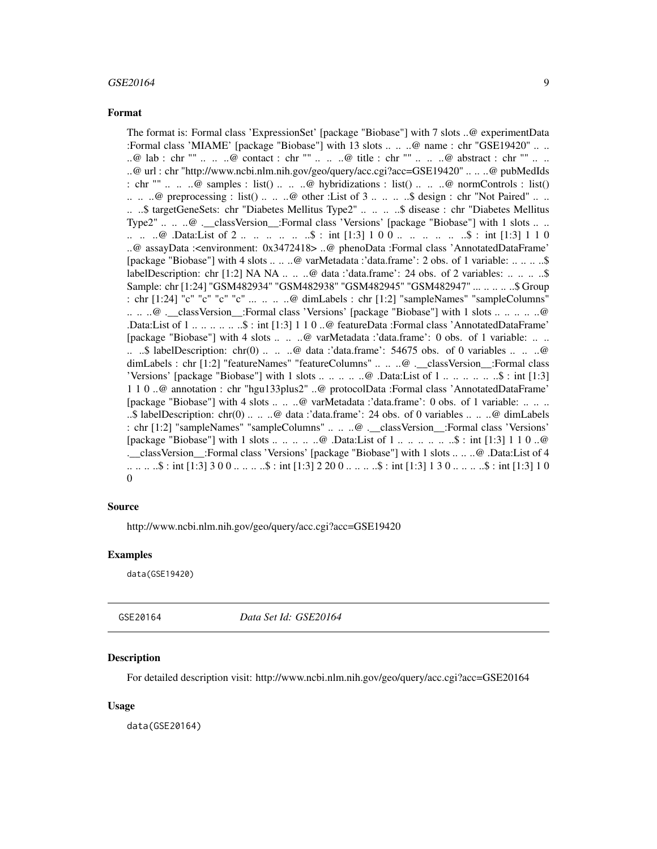#### <span id="page-8-0"></span> $GSE20164$  9

#### Format

The format is: Formal class 'ExpressionSet' [package "Biobase"] with 7 slots ..@ experimentData :Formal class 'MIAME' [package "Biobase"] with 13 slots .. .. ..@ name : chr "GSE19420" .. .. ..@ lab : chr "" .. .. ..@ contact : chr "" .. .. ..@ title : chr "" .. .. ..@ abstract : chr "" .. .. ..@ url : chr "http://www.ncbi.nlm.nih.gov/geo/query/acc.cgi?acc=GSE19420" .. .. ..@ pubMedIds : chr ""  $\ldots$   $\ldots$   $\omega$  samples : list()  $\ldots$   $\ldots$   $\omega$  hybridizations : list()  $\ldots$   $\ldots$   $\omega$  normControls : list()  $\ldots$   $\ldots$   $\omega$  preprocessing : list()  $\ldots$   $\ldots$   $\omega$  other : List of 3  $\ldots$   $\ldots$   $\ldots$   $\omega$  design : chr "Not Paired"  $\ldots$   $\ldots$ .. ..\$ targetGeneSets: chr "Diabetes Mellitus Type2" .. .. .. ..\$ disease : chr "Diabetes Mellitus Type2" .. .. ..@ .\_\_classVersion\_\_:Formal class 'Versions' [package "Biobase"] with 1 slots .. .. .. .. .. @ .Data:List of 2 .. .. .. .. ..\$ : int [1:3] 1 0 0 .. .. .. .. ... ..\$ : int [1:3] 1 1 0 ..@ assayData :<environment: 0x3472418> ..@ phenoData :Formal class 'AnnotatedDataFrame' [package "Biobase"] with 4 slots .. .. ..@ varMetadata :'data.frame': 2 obs. of 1 variable: .. .. .. ..\$ labelDescription: chr [1:2] NA NA .. .. .. @ data :'data.frame': 24 obs. of 2 variables: .. .. .. .. \$ Sample: chr [1:24] "GSM482934" "GSM482938" "GSM482945" "GSM482947" ... .. .. .. ..\$ Group : chr [1:24] "c" "c" "c" "c" ... .. .. ..@ dimLabels : chr [1:2] "sampleNames" "sampleColumns" .. .. ..@ .\_\_classVersion\_\_:Formal class 'Versions' [package "Biobase"] with 1 slots .. .. .. .. ..@ .Data:List of 1 .. .. .. .. .. ..\$ : int [1:3] 1 1 0 ..@ featureData :Formal class 'AnnotatedDataFrame' [package "Biobase"] with 4 slots .. .. ..@ varMetadata :'data.frame': 0 obs. of 1 variable: .. .. ...  $\therefore$  labelDescription: chr(0) ...  $\therefore$   $\theta$  data :'data.frame': 54675 obs. of 0 variables ...  $\therefore$   $\theta$ dimLabels : chr [1:2] "featureNames" "featureColumns" .. .. ..@ .\_\_classVersion\_\_:Formal class 'Versions' [package "Biobase"] with 1 slots .. .. .. .. ..@ .Data:List of 1 .. .. .. .. .. ..\$ : int [1:3] 1 1 0 ..@ annotation : chr "hgu133plus2" ..@ protocolData :Formal class 'AnnotatedDataFrame' [package "Biobase"] with 4 slots .. .. ..@ varMetadata :'data.frame': 0 obs. of 1 variable: .. .. .. ..\$ labelDescription: chr(0) .. .. ..@ data :'data.frame': 24 obs. of 0 variables .. .. ..@ dimLabels : chr [1:2] "sampleNames" "sampleColumns" .. .. ..@ .\_\_classVersion\_\_:Formal class 'Versions' [package "Biobase"] with 1 slots .. .. .. .. ..@ .Data:List of 1 .. .. .. .. .. ..\$ : int [1:3] 1 1 0 ..@ .\_\_classVersion\_\_:Formal class 'Versions' [package "Biobase"] with 1 slots .. .. ..@ .Data:List of 4 .. .. .. ..\$ : int [1:3] 3 0 0 .. .. .. ..\$ : int [1:3] 2 20 0 .. .. .. ..\$ : int [1:3] 1 3 0 .. .. .. ..\$ : int [1:3] 1 0  $\theta$ 

#### Source

http://www.ncbi.nlm.nih.gov/geo/query/acc.cgi?acc=GSE19420

#### Examples

data(GSE19420)

GSE20164 *Data Set Id: GSE20164*

#### **Description**

For detailed description visit: http://www.ncbi.nlm.nih.gov/geo/query/acc.cgi?acc=GSE20164

#### Usage

data(GSE20164)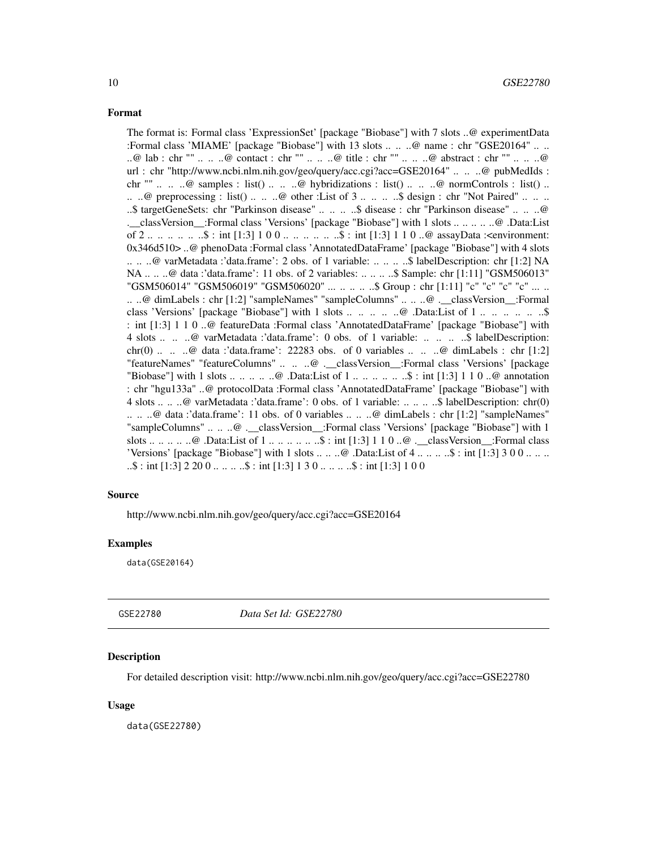<span id="page-9-0"></span>The format is: Formal class 'ExpressionSet' [package "Biobase"] with 7 slots ..@ experimentData :Formal class 'MIAME' [package "Biobase"] with 13 slots .. .. ..@ name : chr "GSE20164" .. .. ..@ lab : chr "" .. .. ..@ contact : chr "" .. .. ..@ title : chr "" .. .. ..@ abstract : chr "" .. .. ..@ url : chr "http://www.ncbi.nlm.nih.gov/geo/query/acc.cgi?acc=GSE20164" .. .. ..@ pubMedIds : chr ""  $\ldots$   $\ldots$   $\omega$  samples : list()  $\ldots$   $\ldots$   $\omega$  hybridizations : list()  $\ldots$   $\ldots$   $\omega$  normControls : list()  $\ldots$ .. ..@ preprocessing : list() .. .. ..@ other :List of 3 .. .. ... \$ design : chr "Not Paired" .. .. .. ..\$ targetGeneSets: chr "Parkinson disease" .. .. .. ..\$ disease : chr "Parkinson disease" .. .. ..@ .\_\_classVersion\_\_:Formal class 'Versions' [package "Biobase"] with 1 slots .. .. .. .. ..@ .Data:List of 2 .. .. .. .. .. ..\$ : int [1:3] 1 0 0 .. .. .. .. .. ..\$ : int [1:3] 1 1 0 ..@ assayData :<environment: 0x346d510> ..@ phenoData :Formal class 'AnnotatedDataFrame' [package "Biobase"] with 4 slots .. .. ..@ varMetadata :'data.frame': 2 obs. of 1 variable: .. .. .. ..\$ labelDescription: chr [1:2] NA NA .. .. ..@ data :'data.frame': 11 obs. of 2 variables: .. .. .. ..\$ Sample: chr [1:11] "GSM506013" "GSM506014" "GSM506019" "GSM506020" ... .. .. .. ..\$ Group : chr [1:11] "c" "c" "c" "c" ... .. .. ..@ dimLabels : chr [1:2] "sampleNames" "sampleColumns" .. .. ..@ .\_\_classVersion\_\_:Formal class 'Versions' [package "Biobase"] with 1 slots .. .. .. .. .. @ .Data:List of 1 .. .. .. .. .. .. \$ : int [1:3] 1 1 0 ..@ featureData :Formal class 'AnnotatedDataFrame' [package "Biobase"] with 4 slots .. .. ..@ varMetadata :'data.frame': 0 obs. of 1 variable: .. .. .. ..\$ labelDescription: chr(0)  $\ldots$   $\ldots$   $\omega$  data :'data.frame': 22283 obs. of 0 variables  $\ldots$   $\ldots$   $\omega$  dimLabels : chr [1:2] "featureNames" "featureColumns" .. .. ..@ .\_\_classVersion\_\_:Formal class 'Versions' [package "Biobase"] with 1 slots .. .. .. .. .. ..@ .Data:List of 1 .. .. .. .. .. ..\$ : int [1:3] 1 1 0 ..@ annotation : chr "hgu133a" ..@ protocolData :Formal class 'AnnotatedDataFrame' [package "Biobase"] with 4 slots .. .. ..@ varMetadata :'data.frame': 0 obs. of 1 variable: .. .. .. ..\$ labelDescription: chr(0) .. .. ..@ data :'data.frame': 11 obs. of 0 variables .. .. ..@ dimLabels : chr [1:2] "sampleNames" "sampleColumns" .. .. ..@ . classVersion :Formal class 'Versions' [package "Biobase"] with 1 slots .. .. .. .. ..@ .Data:List of 1 .. .. .. .. .. ..\$ : int [1:3] 1 1 0 ..@ .\_\_classVersion\_\_:Formal class 'Versions' [package "Biobase"] with 1 slots  $\dots \dots \omega$ . Data:List of  $4 \dots \dots \dots \$  : int [1:3] 3 0 0  $\dots \dots$  $\ldots$ \$ : int [1:3] 2 20 0  $\ldots$  ...  $\ldots$ \$ : int [1:3] 1 3 0  $\ldots$  ...  $\ldots$ \$ : int [1:3] 1 0 0

#### Source

http://www.ncbi.nlm.nih.gov/geo/query/acc.cgi?acc=GSE20164

#### Examples

data(GSE20164)

GSE22780 *Data Set Id: GSE22780*

#### **Description**

For detailed description visit: http://www.ncbi.nlm.nih.gov/geo/query/acc.cgi?acc=GSE22780

#### Usage

data(GSE22780)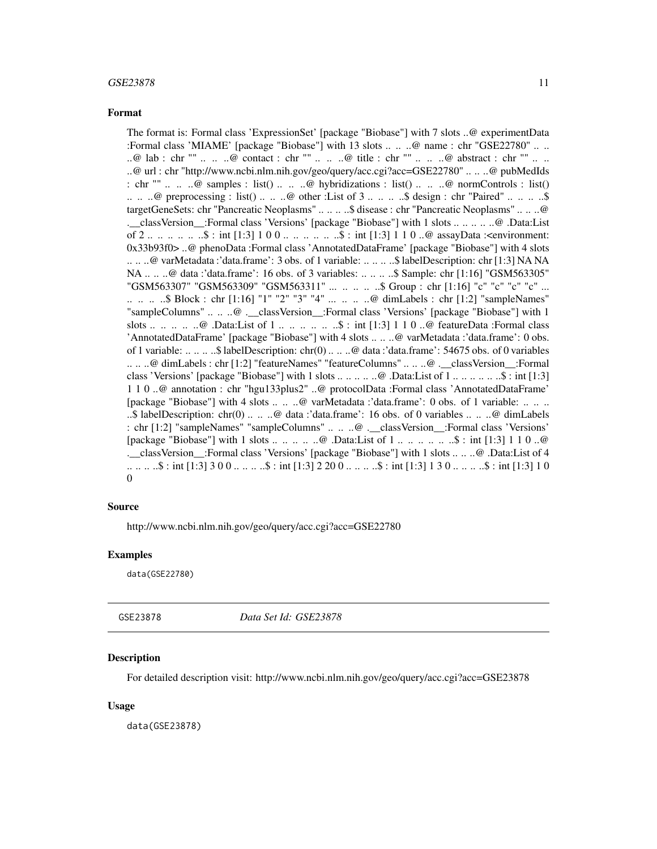<span id="page-10-0"></span>The format is: Formal class 'ExpressionSet' [package "Biobase"] with 7 slots ..@ experimentData :Formal class 'MIAME' [package "Biobase"] with 13 slots .. .. ..@ name : chr "GSE22780" .. .. ..@ lab : chr "" .. .. ..@ contact : chr "" .. .. ..@ title : chr "" .. .. ..@ abstract : chr "" .. .. ..@ url : chr "http://www.ncbi.nlm.nih.gov/geo/query/acc.cgi?acc=GSE22780" .. .. ..@ pubMedIds : chr ""  $\ldots$   $\ldots$   $\omega$  samples : list()  $\ldots$   $\ldots$   $\omega$  hybridizations : list()  $\ldots$   $\ldots$   $\omega$  normControls : list()  $\ldots$   $\ldots$   $\omega$  preprocessing : list()  $\ldots$   $\ldots$   $\omega$  other : List of 3  $\ldots$   $\ldots$   $\ldots$ \$ design : chr "Paired"  $\ldots$   $\ldots$   $\ldots$ \$ targetGeneSets: chr "Pancreatic Neoplasms" .. .. .. ..\$ disease : chr "Pancreatic Neoplasms" .. .. ..@ .\_\_classVersion\_\_:Formal class 'Versions' [package "Biobase"] with 1 slots .. .. .. .. ..@ .Data:List of 2 .. .. .. .. .. ..\$ : int [1:3] 1 0 0 .. .. .. .. .. ..\$ : int [1:3] 1 1 0 ..@ assayData :<environment: 0x33b93f0> ..@ phenoData :Formal class 'AnnotatedDataFrame' [package "Biobase"] with 4 slots .. .. ..@ varMetadata :'data.frame': 3 obs. of 1 variable: .. .. .. ..\$ labelDescription: chr [1:3] NA NA NA .. .. ..@ data :'data.frame': 16 obs. of 3 variables: .. .. .. ..\$ Sample: chr [1:16] "GSM563305" "GSM563307" "GSM563309" "GSM563311" ... .. .. .. .. \$ Group : chr [1:16] "c" "c" "c" "c" ... .. .. .. ..\$ Block : chr [1:16] "1" "2" "3" "4" ... .. .. ..@ dimLabels : chr [1:2] "sampleNames" "sampleColumns" .. .. ..@ .\_\_classVersion\_\_:Formal class 'Versions' [package "Biobase"] with 1 slots ... ... .. ..@ .Data:List of 1 ... ... ... ... \$ : int  $[1:3]$  1 1 0 ..@ featureData :Formal class 'AnnotatedDataFrame' [package "Biobase"] with 4 slots .. .. ..@ varMetadata :'data.frame': 0 obs. of 1 variable: .. .. .. ..\$ labelDescription: chr(0) .. .. ..@ data :'data.frame': 54675 obs. of 0 variables .. .. ..@ dimLabels : chr [1:2] "featureNames" "featureColumns" .. .. ..@ .\_\_classVersion\_\_:Formal class 'Versions' [package "Biobase"] with 1 slots .. .. .. .. ..@ .Data:List of 1 .. .. .. .. .. ..\$ : int [1:3] 1 1 0 ..@ annotation : chr "hgu133plus2" ..@ protocolData :Formal class 'AnnotatedDataFrame' [package "Biobase"] with 4 slots .. .. ..@ varMetadata :'data.frame': 0 obs. of 1 variable: .. .. .. ..\$ labelDescription: chr(0) .. .. ..@ data :'data.frame': 16 obs. of 0 variables .. .. ..@ dimLabels : chr [1:2] "sampleNames" "sampleColumns" .. .. ..@ .\_\_classVersion\_\_:Formal class 'Versions' [package "Biobase"] with 1 slots .. .. .. .. ..@ .Data:List of 1 .. .. .. .. .. ..\$ : int [1:3] 1 1 0 ..@ .\_\_classVersion\_\_:Formal class 'Versions' [package "Biobase"] with 1 slots .. .. ..@ .Data:List of 4 .. .. .. ..\$ : int [1:3] 3 0 0 .. .. .. ..\$ : int [1:3] 2 20 0 .. .. .. ..\$ : int [1:3] 1 3 0 .. .. .. ..\$ : int [1:3] 1 0  $\theta$ 

#### Source

http://www.ncbi.nlm.nih.gov/geo/query/acc.cgi?acc=GSE22780

#### Examples

data(GSE22780)

GSE23878 *Data Set Id: GSE23878*

#### Description

For detailed description visit: http://www.ncbi.nlm.nih.gov/geo/query/acc.cgi?acc=GSE23878

#### Usage

data(GSE23878)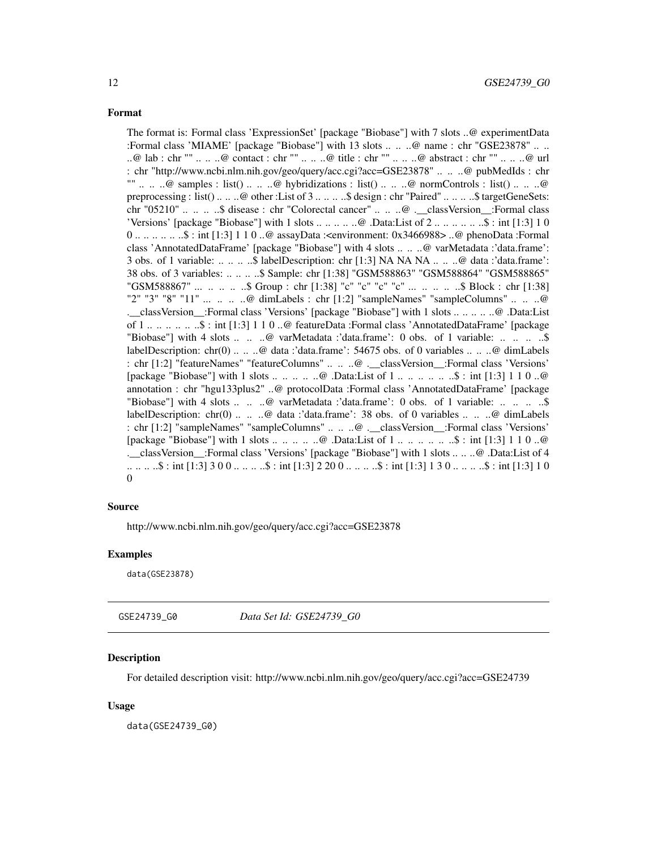<span id="page-11-0"></span>The format is: Formal class 'ExpressionSet' [package "Biobase"] with 7 slots ..@ experimentData :Formal class 'MIAME' [package "Biobase"] with 13 slots .. .. ..@ name : chr "GSE23878" .. .. ..@ lab : chr "" .. .. ..@ contact : chr "" .. .. ..@ title : chr "" .. .. ..@ abstract : chr "" .. .. ..@ url : chr "http://www.ncbi.nlm.nih.gov/geo/query/acc.cgi?acc=GSE23878" .. .. ..@ pubMedIds : chr "" .. .. ..@ samples : list() .. .. ..@ hybridizations : list() .. .. ..@ normControls : list() .. .. ..@ preprocessing : list() .. .. ..@ other :List of 3 .. .. .. ..\$ design : chr "Paired" .. .. .. ..\$ targetGeneSets: chr "05210" .. .. .. ..\$ disease : chr "Colorectal cancer" .. .. ..@ .\_\_classVersion\_\_:Formal class 'Versions' [package "Biobase"] with 1 slots  $\dots \dots \dots \dots$  .@ .Data:List of  $2 \dots \dots \dots \dots \dots \dots \dots \dots \dots$  : int [1:3] 1 0 0 .. .. .. .. .. ..\$ : int [1:3] 1 1 0 ..@ assayData :<environment: 0x3466988> ..@ phenoData :Formal class 'AnnotatedDataFrame' [package "Biobase"] with 4 slots .. .. ..@ varMetadata :'data.frame': 3 obs. of 1 variable: .. .. .. ..\$ labelDescription: chr [1:3] NA NA NA .. .. ..@ data :'data.frame': 38 obs. of 3 variables: .. .. .. ..\$ Sample: chr [1:38] "GSM588863" "GSM588864" "GSM588865" "GSM588867" ... .. .. .. ..\$ Group : chr [1:38] "c" "c" "c" "c" ... .. .. .. ..\$ Block : chr [1:38] "2" "3" "8" "11" ... .. .. ..@ dimLabels : chr [1:2] "sampleNames" "sampleColumns" .. .. ..@ .\_\_classVersion\_\_:Formal class 'Versions' [package "Biobase"] with 1 slots .. .. .. .. ..@ .Data:List of 1 .. .. .. .. .. ..\$ : int [1:3] 1 1 0 ..@ featureData :Formal class 'AnnotatedDataFrame' [package "Biobase"] with 4 slots .. .. ..@ varMetadata :'data.frame': 0 obs. of 1 variable: .. .. ... ... \$ labelDescription: chr(0) .. .. ..@ data :'data.frame': 54675 obs. of 0 variables .. .. ..@ dimLabels : chr [1:2] "featureNames" "featureColumns" .. .. ..@ .\_\_classVersion\_\_:Formal class 'Versions' [package "Biobase"] with 1 slots ... .. .. .. .. ..@ .Data:List of 1 ... ... ... ... ..\$ : int [1:3] 1 1 0 ..@ annotation : chr "hgu133plus2" ..@ protocolData :Formal class 'AnnotatedDataFrame' [package "Biobase"] with 4 slots .. .. ..@ varMetadata :'data.frame': 0 obs. of 1 variable: .. .. ... ...\$ labelDescription: chr(0) .. .. ..@ data :'data.frame': 38 obs. of 0 variables .. .. ..@ dimLabels : chr [1:2] "sampleNames" "sampleColumns" .. .. ..@ .\_\_classVersion\_\_:Formal class 'Versions' [package "Biobase"] with 1 slots .. .. .. .. ..@ .Data:List of 1 .. .. .. .. .. ..\$ : int [1:3] 1 1 0 ..@ .\_\_classVersion\_\_:Formal class 'Versions' [package "Biobase"] with 1 slots .. .. ..@ .Data:List of 4 .. .. .. ..\$ : int [1:3] 3 0 0 .. .. .. ..\$ : int [1:3] 2 20 0 .. .. .. ..\$ : int [1:3] 1 3 0 .. .. .. ..\$ : int [1:3] 1 0  $\theta$ 

#### Source

http://www.ncbi.nlm.nih.gov/geo/query/acc.cgi?acc=GSE23878

#### Examples

data(GSE23878)

GSE24739\_G0 *Data Set Id: GSE24739\_G0*

#### Description

For detailed description visit: http://www.ncbi.nlm.nih.gov/geo/query/acc.cgi?acc=GSE24739

#### Usage

data(GSE24739\_G0)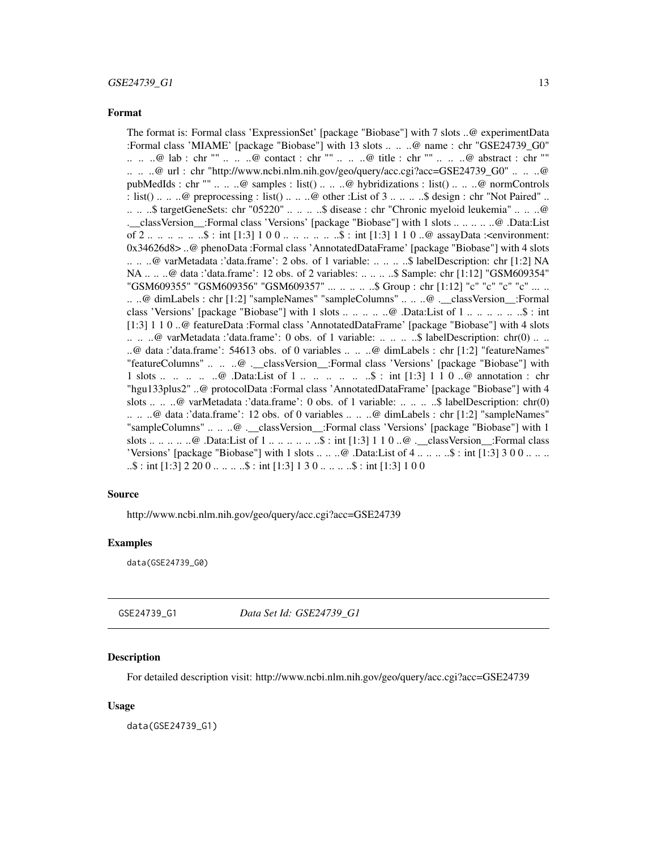<span id="page-12-0"></span>The format is: Formal class 'ExpressionSet' [package "Biobase"] with 7 slots ..@ experimentData :Formal class 'MIAME' [package "Biobase"] with 13 slots .. .. ..@ name : chr "GSE24739\_G0" .. .. ..@ lab : chr "" .. .. ..@ contact : chr "" .. .. ..@ title : chr "" .. .. ..@ abstract : chr "" .. .. ..@ url : chr "http://www.ncbi.nlm.nih.gov/geo/query/acc.cgi?acc=GSE24739\_G0" .. .. ..@ pubMedIds : chr "" .. .. ..@ samples : list() .. .. ..@ hybridizations : list() .. .. ..@ normControls : list() .. .. ..@ preprocessing : list() .. .. ..@ other :List of  $3 \ldots \ldots$ ...\$ design : chr "Not Paired" .. .. .. ..\$ targetGeneSets: chr "05220" .. .. .. ..\$ disease : chr "Chronic myeloid leukemia" .. .. ..@ .\_\_classVersion\_\_:Formal class 'Versions' [package "Biobase"] with 1 slots .. .. .. .. ..@ .Data:List of 2 .. .. .. .. .. ..\$ : int [1:3] 1 0 0 .. .. .. .. .. ..\$ : int [1:3] 1 1 0 ..@ assayData :<environment: 0x34626d8> ..@ phenoData :Formal class 'AnnotatedDataFrame' [package "Biobase"] with 4 slots .. .. ..@ varMetadata :'data.frame': 2 obs. of 1 variable: .. .. .. ..\$ labelDescription: chr [1:2] NA NA .. .. ..@ data :'data.frame': 12 obs. of 2 variables: .. .. .. ..\$ Sample: chr [1:12] "GSM609354" "GSM609355" "GSM609356" "GSM609357" ... .. .. .. ..\$ Group : chr [1:12] "c" "c" "c" "c" ... .. .. ..@ dimLabels : chr [1:2] "sampleNames" "sampleColumns" .. .. ..@ .\_\_classVersion\_\_:Formal class 'Versions' [package "Biobase"] with 1 slots .. .. .. .. ..@ .Data:List of 1 .. .. .. .. .. ..\$ : int [1:3] 1 1 0 ..@ featureData :Formal class 'AnnotatedDataFrame' [package "Biobase"] with 4 slots .. .. ..@ varMetadata :'data.frame': 0 obs. of 1 variable: .. .. .. ..\$ labelDescription: chr(0) .. .. ..@ data :'data.frame': 54613 obs. of 0 variables .. .. ..@ dimLabels : chr [1:2] "featureNames" "featureColumns" .. .. ..@ .\_\_classVersion\_\_:Formal class 'Versions' [package "Biobase"] with 1 slots ... ..  $\ldots$  ...  $\mathcal{Q}$  .Data:List of 1 ... ... ... ... \$ : int [1:3] 1 1 0 .. $\mathcal{Q}$  annotation : chr "hgu133plus2" ..@ protocolData :Formal class 'AnnotatedDataFrame' [package "Biobase"] with 4 slots .. .. ..@ varMetadata :'data.frame': 0 obs. of 1 variable: .. .. ...\$ labelDescription: chr(0) .. .. ..@ data :'data.frame': 12 obs. of 0 variables .. .. ..@ dimLabels : chr [1:2] "sampleNames" "sampleColumns" .. .. ..@ . classVersion :Formal class 'Versions' [package "Biobase"] with 1 slots .. .. .. .. ..@ .Data:List of 1 .. .. .. .. .. ..\$ : int [1:3] 1 1 0 ..@ .\_\_classVersion\_\_:Formal class 'Versions' [package "Biobase"] with 1 slots  $\dots \dots \omega$ . Data:List of  $4 \dots \dots \dots \$  : int [1:3] 3 0 0  $\dots \dots$  $\ldots$ \$ : int [1:3] 2 20 0  $\ldots$  ...  $\ldots$ \$ : int [1:3] 1 3 0  $\ldots$  ...  $\ldots$ \$ : int [1:3] 1 0 0

#### Source

http://www.ncbi.nlm.nih.gov/geo/query/acc.cgi?acc=GSE24739

#### Examples

data(GSE24739\_G0)

GSE24739\_G1 *Data Set Id: GSE24739\_G1*

#### Description

For detailed description visit: http://www.ncbi.nlm.nih.gov/geo/query/acc.cgi?acc=GSE24739

#### Usage

data(GSE24739\_G1)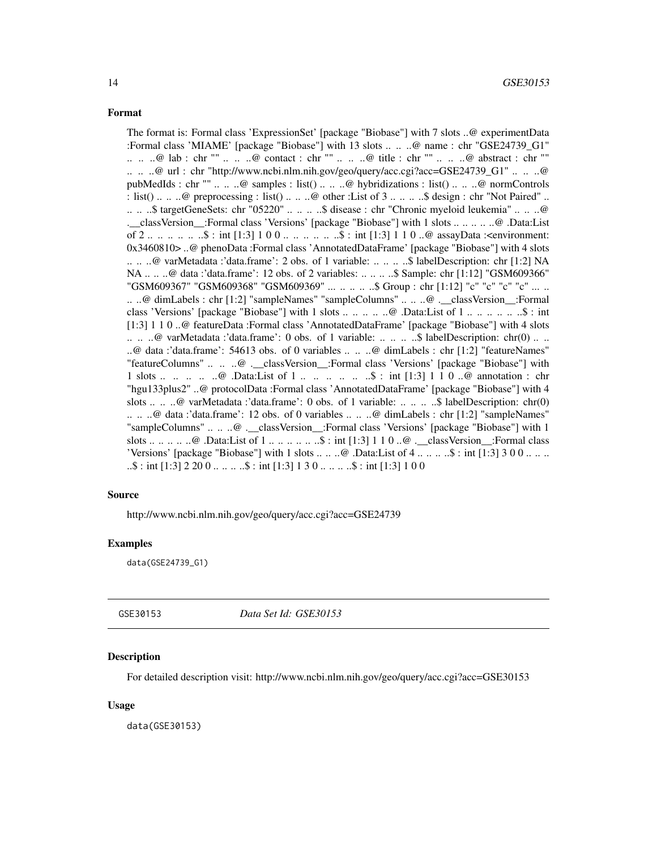<span id="page-13-0"></span>The format is: Formal class 'ExpressionSet' [package "Biobase"] with 7 slots ..@ experimentData :Formal class 'MIAME' [package "Biobase"] with 13 slots .. .. ..@ name : chr "GSE24739\_G1" .. .. ..@ lab : chr "" .. .. ..@ contact : chr "" .. .. ..@ title : chr "" .. .. ..@ abstract : chr "" .. .. ..@ url : chr "http://www.ncbi.nlm.nih.gov/geo/query/acc.cgi?acc=GSE24739\_G1" .. .. ..@ pubMedIds : chr "" .. .. ..@ samples : list() .. .. ..@ hybridizations : list() .. .. ..@ normControls : list() .. .. ..@ preprocessing : list() .. .. ..@ other :List of  $3 \ldots \ldots$ ...\$ design : chr "Not Paired" .. .. .. ..\$ targetGeneSets: chr "05220" .. .. .. ..\$ disease : chr "Chronic myeloid leukemia" .. .. ..@ .\_\_classVersion\_\_:Formal class 'Versions' [package "Biobase"] with 1 slots .. .. .. .. ..@ .Data:List of 2 .. .. .. .. .. ..\$ : int [1:3] 1 0 0 .. .. .. .. .. ..\$ : int [1:3] 1 1 0 ..@ assayData :<environment: 0x3460810> ..@ phenoData :Formal class 'AnnotatedDataFrame' [package "Biobase"] with 4 slots .. .. ..@ varMetadata :'data.frame': 2 obs. of 1 variable: .. .. .. ..\$ labelDescription: chr [1:2] NA NA .. .. ..@ data :'data.frame': 12 obs. of 2 variables: .. .. .. ..\$ Sample: chr [1:12] "GSM609366" "GSM609367" "GSM609368" "GSM609369" ... .. .. .. ..\$ Group : chr [1:12] "c" "c" "c" "c" ... .. .. ..@ dimLabels : chr [1:2] "sampleNames" "sampleColumns" .. .. ..@ .\_\_classVersion\_\_:Formal class 'Versions' [package "Biobase"] with 1 slots .. .. .. .. ..@ .Data:List of 1 .. .. .. .. .. ..\$ : int [1:3] 1 1 0 ..@ featureData :Formal class 'AnnotatedDataFrame' [package "Biobase"] with 4 slots .. .. ..@ varMetadata :'data.frame': 0 obs. of 1 variable: .. .. .. ..\$ labelDescription: chr(0) .. .. ..@ data :'data.frame': 54613 obs. of 0 variables .. .. ..@ dimLabels : chr [1:2] "featureNames" "featureColumns" .. .. ..@ .\_\_classVersion\_\_:Formal class 'Versions' [package "Biobase"] with 1 slots ... ..  $\ldots$  ...  $\mathcal{Q}$  .Data:List of 1 ... ... ... ... \$ : int [1:3] 1 1 0 .. $\mathcal{Q}$  annotation : chr "hgu133plus2" ..@ protocolData :Formal class 'AnnotatedDataFrame' [package "Biobase"] with 4 slots .. .. ..@ varMetadata :'data.frame': 0 obs. of 1 variable: .. .. .. ..\$ labelDescription: chr(0) .. .. ..@ data :'data.frame': 12 obs. of 0 variables .. .. ..@ dimLabels : chr [1:2] "sampleNames" "sampleColumns" .. .. ..@ . classVersion :Formal class 'Versions' [package "Biobase"] with 1 slots .. .. .. .. ..@ .Data:List of 1 .. .. .. .. .. ..\$ : int [1:3] 1 1 0 ..@ .\_\_classVersion\_\_:Formal class 'Versions' [package "Biobase"] with 1 slots  $\dots \dots \omega$ . Data:List of  $4 \dots \dots \dots$ \$: int [1:3] 3 0 0  $\dots \dots$  $\ldots$ \$ : int [1:3] 2 20 0  $\ldots$  ...  $\ldots$ \$ : int [1:3] 1 3 0  $\ldots$  ...  $\ldots$ \$ : int [1:3] 1 0 0

#### Source

http://www.ncbi.nlm.nih.gov/geo/query/acc.cgi?acc=GSE24739

#### Examples

data(GSE24739\_G1)

GSE30153 *Data Set Id: GSE30153*

#### **Description**

For detailed description visit: http://www.ncbi.nlm.nih.gov/geo/query/acc.cgi?acc=GSE30153

#### Usage

data(GSE30153)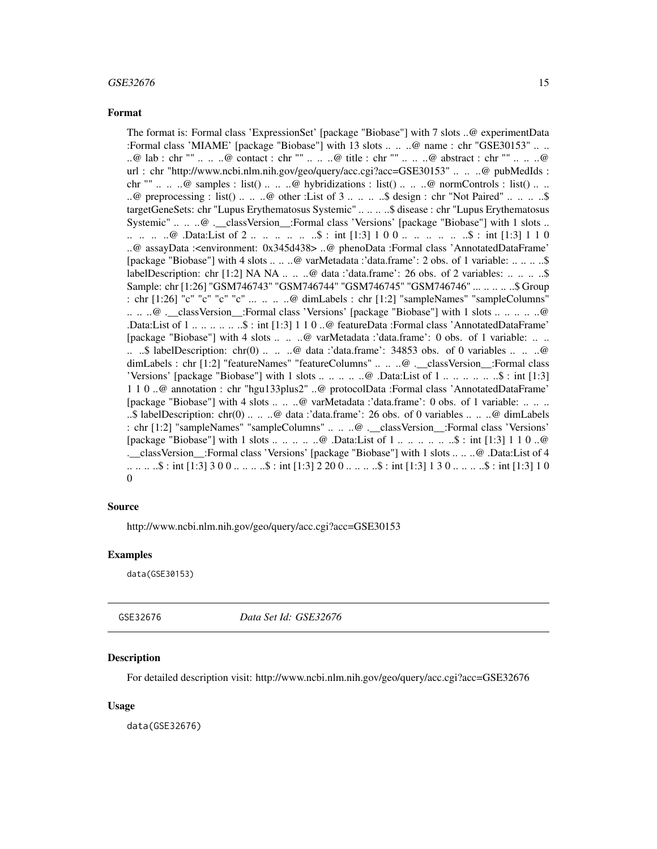#### <span id="page-14-0"></span> $GSE32676$  15

#### Format

The format is: Formal class 'ExpressionSet' [package "Biobase"] with 7 slots ..@ experimentData :Formal class 'MIAME' [package "Biobase"] with 13 slots .. .. ..@ name : chr "GSE30153" .. .. ..@ lab : chr "" .. .. ..@ contact : chr "" .. .. ..@ title : chr "" .. .. ..@ abstract : chr "" .. .. ..@ url : chr "http://www.ncbi.nlm.nih.gov/geo/query/acc.cgi?acc=GSE30153" .. .. ..@ pubMedIds : chr ""  $\ldots \ldots \omega$  samples : list()  $\ldots \ldots \omega$  hybridizations : list()  $\ldots \ldots \omega$  normControls : list()  $\ldots \ldots$ ..@ preprocessing : list() .. .. ..@ other :List of 3 .. .. .. ..\$ design : chr "Not Paired" .. .. .. ..\$ targetGeneSets: chr "Lupus Erythematosus Systemic" .. .. .. ..\$ disease : chr "Lupus Erythematosus Systemic" .. .. ..@ .\_\_classVersion\_\_:Formal class 'Versions' [package "Biobase"] with 1 slots .. .. .. .. .. @ .Data:List of 2 .. .. .. .. .. \$ : int [1:3] 1 0 0 .. .. .. .. .. .. \$ : int [1:3] 1 1 0 ..@ assayData :<environment: 0x345d438> ..@ phenoData :Formal class 'AnnotatedDataFrame' [package "Biobase"] with 4 slots .. .. ..@ varMetadata :'data.frame': 2 obs. of 1 variable: .. .. .. ..\$ labelDescription: chr [1:2] NA NA  $\dots$   $\dots$   $\omega$  data :'data.frame': 26 obs. of 2 variables:  $\dots$   $\dots$   $\ldots$ \$ Sample: chr [1:26] "GSM746743" "GSM746744" "GSM746745" "GSM746746" ... .. .. .. ..\$ Group : chr [1:26] "c" "c" "c" "c" ... .. .. ..@ dimLabels : chr [1:2] "sampleNames" "sampleColumns" .. .. ..@ .\_\_classVersion\_\_:Formal class 'Versions' [package "Biobase"] with 1 slots .. .. .. .. ..@ .Data:List of 1 .. .. .. .. .. ..\$ : int [1:3] 1 1 0 ..@ featureData :Formal class 'AnnotatedDataFrame' [package "Biobase"] with 4 slots .. .. ..@ varMetadata :'data.frame': 0 obs. of 1 variable: .. .. .. ..\$ labelDescription: chr(0) .. .. ..@ data :'data.frame': 34853 obs. of 0 variables .. .. ..@ dimLabels : chr [1:2] "featureNames" "featureColumns" .. .. ..@ .\_\_classVersion\_\_:Formal class 'Versions' [package "Biobase"] with 1 slots .. .. .. .. ..@ .Data:List of 1 .. .. .. .. .. ..\$ : int [1:3] 1 1 0 ..@ annotation : chr "hgu133plus2" ..@ protocolData :Formal class 'AnnotatedDataFrame' [package "Biobase"] with 4 slots .. .. ..@ varMetadata :'data.frame': 0 obs. of 1 variable: .. .. .. ..\$ labelDescription: chr(0) .. .. ..@ data :'data.frame': 26 obs. of 0 variables .. .. ..@ dimLabels : chr [1:2] "sampleNames" "sampleColumns" .. .. ..@ .\_\_classVersion\_\_:Formal class 'Versions' [package "Biobase"] with 1 slots .. .. .. .. ..@ .Data:List of 1 .. .. .. .. .. ..\$ : int [1:3] 1 1 0 ..@ .\_\_classVersion\_\_:Formal class 'Versions' [package "Biobase"] with 1 slots .. .. ..@ .Data:List of 4 .. .. .. ..\$ : int [1:3] 3 0 0 .. .. .. ..\$ : int [1:3] 2 20 0 .. .. .. ..\$ : int [1:3] 1 3 0 .. .. .. ..\$ : int [1:3] 1 0  $\theta$ 

#### Source

http://www.ncbi.nlm.nih.gov/geo/query/acc.cgi?acc=GSE30153

#### Examples

data(GSE30153)

GSE32676 *Data Set Id: GSE32676*

#### Description

For detailed description visit: http://www.ncbi.nlm.nih.gov/geo/query/acc.cgi?acc=GSE32676

#### Usage

data(GSE32676)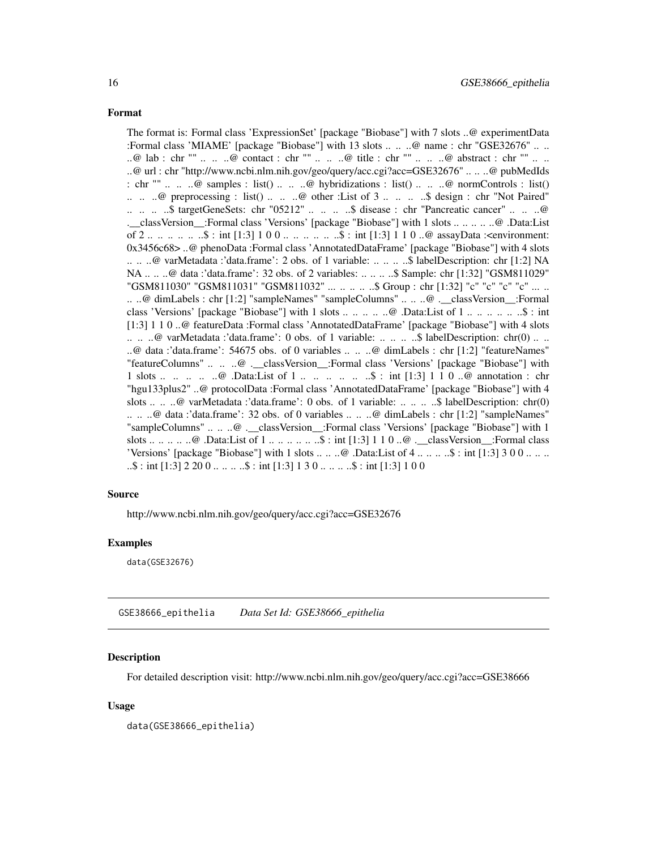<span id="page-15-0"></span>The format is: Formal class 'ExpressionSet' [package "Biobase"] with 7 slots ..@ experimentData :Formal class 'MIAME' [package "Biobase"] with 13 slots .. .. ..@ name : chr "GSE32676" .. .. ..@ lab : chr "" .. .. ..@ contact : chr "" .. .. ..@ title : chr "" .. .. ..@ abstract : chr "" .. .. ..@ url : chr "http://www.ncbi.nlm.nih.gov/geo/query/acc.cgi?acc=GSE32676" .. .. ..@ pubMedIds : chr ""  $\ldots$   $\ldots$   $\omega$  samples : list()  $\ldots$   $\ldots$   $\omega$  hybridizations : list()  $\ldots$   $\ldots$   $\omega$  normControls : list()  $\ldots$   $\ldots$   $\omega$  preprocessing : list()  $\ldots$   $\ldots$   $\omega$  other : List of 3  $\ldots$   $\ldots$   $\ldots$   $\omega$  design : chr "Not Paired" .. .. .. ..\$ targetGeneSets: chr "05212" .. .. .. ..\$ disease : chr "Pancreatic cancer" .. .. ..@ .\_\_classVersion\_\_:Formal class 'Versions' [package "Biobase"] with 1 slots .. .. .. .. ..@ .Data:List of 2 .. .. .. .. .. ..\$ : int [1:3] 1 0 0 .. .. .. .. .. ..\$ : int [1:3] 1 1 0 ..@ assayData :<environment: 0x3456c68> ..@ phenoData :Formal class 'AnnotatedDataFrame' [package "Biobase"] with 4 slots .. .. ..@ varMetadata :'data.frame': 2 obs. of 1 variable: .. .. .. ..\$ labelDescription: chr [1:2] NA NA .. .. ..@ data :'data.frame': 32 obs. of 2 variables: .. .. .. ..\$ Sample: chr [1:32] "GSM811029" "GSM811030" "GSM811031" "GSM811032" ... .. .. .. ..\$ Group : chr [1:32] "c" "c" "c" "c" ... .. .. ..@ dimLabels : chr [1:2] "sampleNames" "sampleColumns" .. .. ..@ .\_\_classVersion\_\_:Formal class 'Versions' [package "Biobase"] with 1 slots .. .. .. .. ..@ .Data:List of 1 .. .. .. .. .. ..\$ : int [1:3] 1 1 0 ..@ featureData :Formal class 'AnnotatedDataFrame' [package "Biobase"] with 4 slots .. .. ..@ varMetadata :'data.frame': 0 obs. of 1 variable: .. .. .. ..\$ labelDescription: chr(0) .. .. ..@ data :'data.frame': 54675 obs. of 0 variables .. .. ..@ dimLabels : chr [1:2] "featureNames" "featureColumns" .. .. ..@ .\_\_classVersion\_\_:Formal class 'Versions' [package "Biobase"] with 1 slots ... .. .. .. .@ .Data:List of 1 ... .. ... ... ..\$ : int [1:3] 1 1 0 ..@ annotation : chr "hgu133plus2" ..@ protocolData :Formal class 'AnnotatedDataFrame' [package "Biobase"] with 4 slots .. .. ..@ varMetadata :'data.frame': 0 obs. of 1 variable: .. .. ...\$ labelDescription: chr(0) .. .. ..@ data :'data.frame': 32 obs. of 0 variables .. .. ..@ dimLabels : chr [1:2] "sampleNames" "sampleColumns" .. .. ..@ . classVersion :Formal class 'Versions' [package "Biobase"] with 1 slots .. .. .. .. ..@ .Data:List of 1 .. .. .. .. .. ..\$ : int [1:3] 1 1 0 ..@ .\_\_classVersion\_\_:Formal class 'Versions' [package "Biobase"] with 1 slots  $\dots \dots \omega$ . Data:List of  $4 \dots \dots \dots$ \$: int [1:3] 3 0 0  $\dots \dots$  $\ldots$ \$ : int [1:3] 2 20 0  $\ldots$  ...  $\ldots$ \$ : int [1:3] 1 3 0  $\ldots$  ...  $\ldots$ \$ : int [1:3] 1 0 0

#### Source

http://www.ncbi.nlm.nih.gov/geo/query/acc.cgi?acc=GSE32676

#### Examples

data(GSE32676)

GSE38666\_epithelia *Data Set Id: GSE38666\_epithelia*

#### **Description**

For detailed description visit: http://www.ncbi.nlm.nih.gov/geo/query/acc.cgi?acc=GSE38666

#### Usage

data(GSE38666\_epithelia)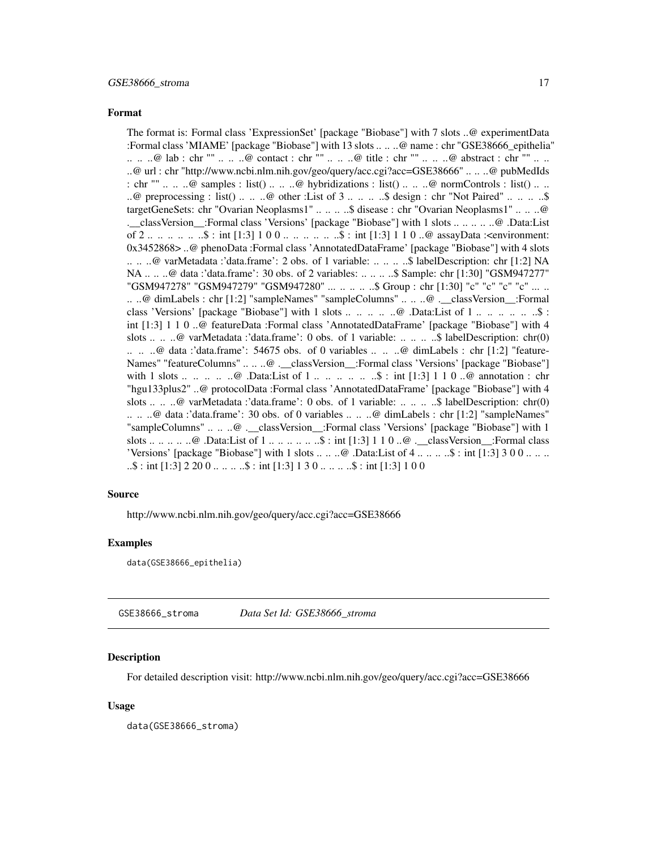<span id="page-16-0"></span>The format is: Formal class 'ExpressionSet' [package "Biobase"] with 7 slots ..@ experimentData :Formal class 'MIAME' [package "Biobase"] with 13 slots .. .. ..@ name : chr "GSE38666\_epithelia" .. .. ..@ lab : chr "" .. .. ..@ contact : chr "" .. .. ..@ title : chr "" .. .. ..@ abstract : chr "" .. .. ..@ url : chr "http://www.ncbi.nlm.nih.gov/geo/query/acc.cgi?acc=GSE38666" .. .. ..@ pubMedIds : chr "" .. .. ..@ samples : list() .. .. ..@ hybridizations : list() .. .. ..@ normControls : list() .. .. ..@ preprocessing : list() .. .. ..@ other :List of 3 .. .. .. ..\$ design : chr "Not Paired" .. .. .. ..\$ targetGeneSets: chr "Ovarian Neoplasms1" .. .. ... \$ disease : chr "Ovarian Neoplasms1" .. .. ..@ .\_\_classVersion\_\_:Formal class 'Versions' [package "Biobase"] with 1 slots .. .. .. .. ..@ .Data:List of 2 .. .. .. .. .. ..\$ : int [1:3] 1 0 0 .. .. .. .. .. ..\$ : int [1:3] 1 1 0 ..@ assayData :<environment: 0x3452868> ..@ phenoData :Formal class 'AnnotatedDataFrame' [package "Biobase"] with 4 slots .. .. ..@ varMetadata :'data.frame': 2 obs. of 1 variable: .. .. .. ..\$ labelDescription: chr [1:2] NA NA .. .. ..@ data :'data.frame': 30 obs. of 2 variables: .. .. .. ..\$ Sample: chr [1:30] "GSM947277" "GSM947278" "GSM947279" "GSM947280" ... .. .. .. ..\$ Group : chr [1:30] "c" "c" "c" "c" ... .. .. ..@ dimLabels : chr [1:2] "sampleNames" "sampleColumns" .. .. ..@ .\_\_classVersion\_\_:Formal class 'Versions' [package "Biobase"] with 1 slots .. .. .. .. .. .@ .Data:List of 1 .. .. .. .. .. ..\$ : int [1:3] 1 1 0 ..@ featureData :Formal class 'AnnotatedDataFrame' [package "Biobase"] with 4 slots .. .. ..@ varMetadata :'data.frame': 0 obs. of 1 variable: .. .. .. ..\$ labelDescription: chr(0)  $\ldots$   $\ldots$   $\omega$  data :'data.frame': 54675 obs. of 0 variables  $\ldots$   $\ldots$   $\omega$  dimLabels : chr [1:2] "feature-Names" "featureColumns" .. .. ..@ .\_\_classVersion\_\_:Formal class 'Versions' [package "Biobase"] with 1 slots ... .. .. .. ..@ .Data:List of 1 ... ... ... ... ... \$ : int [1:3] 1 1 0 ..@ annotation : chr "hgu133plus2" ..@ protocolData :Formal class 'AnnotatedDataFrame' [package "Biobase"] with 4 slots .. .. ..@ varMetadata :'data.frame': 0 obs. of 1 variable: .. .. .. ..\$ labelDescription: chr(0) .. .. ..@ data :'data.frame': 30 obs. of 0 variables .. .. ..@ dimLabels : chr [1:2] "sampleNames" "sampleColumns" .. .. ..@ . classVersion :Formal class 'Versions' [package "Biobase"] with 1 slots .. .. .. .. ..@ .Data:List of 1 .. .. .. .. .. ..\$ : int [1:3] 1 1 0 ..@ .\_\_classVersion\_\_:Formal class 'Versions' [package "Biobase"] with 1 slots  $\dots \dots \omega$ . Data:List of  $4 \dots \dots \dots$ \$: int [1:3] 3 0 0  $\dots \dots$  $\ldots$ \$ : int [1:3] 2 20 0  $\ldots$  ...  $\ldots$ \$ : int [1:3] 1 3 0  $\ldots$  ...  $\ldots$ \$ : int [1:3] 1 0 0

#### Source

http://www.ncbi.nlm.nih.gov/geo/query/acc.cgi?acc=GSE38666

#### Examples

data(GSE38666\_epithelia)

GSE38666\_stroma *Data Set Id: GSE38666\_stroma*

#### Description

For detailed description visit: http://www.ncbi.nlm.nih.gov/geo/query/acc.cgi?acc=GSE38666

#### Usage

data(GSE38666\_stroma)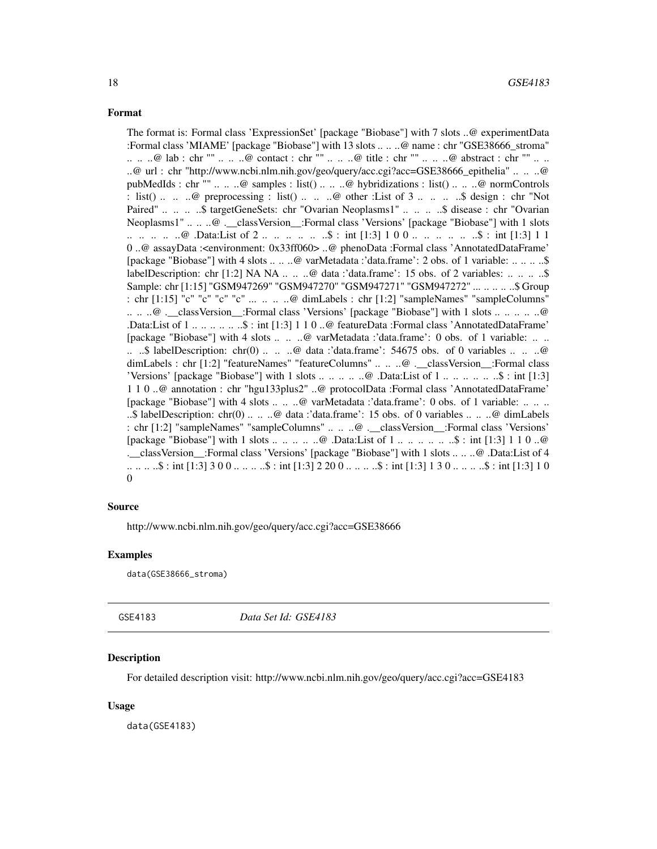<span id="page-17-0"></span>The format is: Formal class 'ExpressionSet' [package "Biobase"] with 7 slots ..@ experimentData :Formal class 'MIAME' [package "Biobase"] with 13 slots .. .. ..@ name : chr "GSE38666\_stroma" .. .. ..@ lab : chr "" .. .. ..@ contact : chr "" .. .. ..@ title : chr "" .. .. ..@ abstract : chr "" .. .. ..@ url : chr "http://www.ncbi.nlm.nih.gov/geo/query/acc.cgi?acc=GSE38666\_epithelia" .. .. ..@ pubMedIds : chr "" .. .. ..@ samples : list() .. .. ..@ hybridizations : list() .. .. ..@ normControls : list() .. .. ..@ preprocessing : list() .. .. ..@ other :List of  $3 \ldots$  .. ... ..\$ design : chr "Not Paired" .. .. .. \$ targetGeneSets: chr "Ovarian Neoplasms1" .. .. .. .. \$ disease : chr "Ovarian Neoplasms1" .. .. ..@ .\_\_classVersion\_\_:Formal class 'Versions' [package "Biobase"] with 1 slots .. .. .. .. ..@ .Data:List of 2 .. .. .. .. .. ..\$ : int [1:3] 1 0 0 .. .. .. .. .. ..\$ : int [1:3] 1 1 0 ..@ assayData :<environment: 0x33ff060> ..@ phenoData :Formal class 'AnnotatedDataFrame' [package "Biobase"] with 4 slots .. .. ..@ varMetadata :'data.frame': 2 obs. of 1 variable: .. .. .. ..\$ labelDescription: chr [1:2] NA NA .. .. .. @ data :'data.frame': 15 obs. of 2 variables: .. .. .. .. \$ Sample: chr [1:15] "GSM947269" "GSM947270" "GSM947271" "GSM947272" ... .. .. .. ..\$ Group : chr [1:15] "c" "c" "c" "c" ... .. .. ..@ dimLabels : chr [1:2] "sampleNames" "sampleColumns" .. .. ..@ .\_\_classVersion\_\_:Formal class 'Versions' [package "Biobase"] with 1 slots .. .. .. .. ..@ .Data:List of 1 .. .. .. .. .. ..\$ : int [1:3] 1 1 0 ..@ featureData :Formal class 'AnnotatedDataFrame' [package "Biobase"] with 4 slots .. .. ..@ varMetadata :'data.frame': 0 obs. of 1 variable: .. .. .. ..\$ labelDescription: chr(0) .. .. ..@ data :'data.frame': 54675 obs. of 0 variables .. .. ..@ dimLabels : chr [1:2] "featureNames" "featureColumns" .. .. ..@ .\_\_classVersion\_\_:Formal class 'Versions' [package "Biobase"] with 1 slots .. .. .. .. ..@ .Data:List of 1 .. .. .. .. .. ..\$ : int [1:3] 1 1 0 ..@ annotation : chr "hgu133plus2" ..@ protocolData :Formal class 'AnnotatedDataFrame' [package "Biobase"] with 4 slots .. .. ..@ varMetadata :'data.frame': 0 obs. of 1 variable: .. .. .. ..\$ labelDescription: chr(0) .. .. ..@ data :'data.frame': 15 obs. of 0 variables .. .. ..@ dimLabels : chr [1:2] "sampleNames" "sampleColumns" .. .. ..@ .\_\_classVersion\_\_:Formal class 'Versions' [package "Biobase"] with 1 slots .. .. .. .. ..@ .Data:List of 1 .. .. .. .. .. ..\$ : int [1:3] 1 1 0 ..@ .\_\_classVersion\_\_:Formal class 'Versions' [package "Biobase"] with 1 slots .. .. ..@ .Data:List of 4 .. .. .. ..\$ : int [1:3] 3 0 0 .. .. .. ..\$ : int [1:3] 2 20 0 .. .. .. ..\$ : int [1:3] 1 3 0 .. .. .. ..\$ : int [1:3] 1 0  $\theta$ 

#### Source

http://www.ncbi.nlm.nih.gov/geo/query/acc.cgi?acc=GSE38666

#### Examples

data(GSE38666\_stroma)

GSE4183 *Data Set Id: GSE4183*

#### Description

For detailed description visit: http://www.ncbi.nlm.nih.gov/geo/query/acc.cgi?acc=GSE4183

#### Usage

data(GSE4183)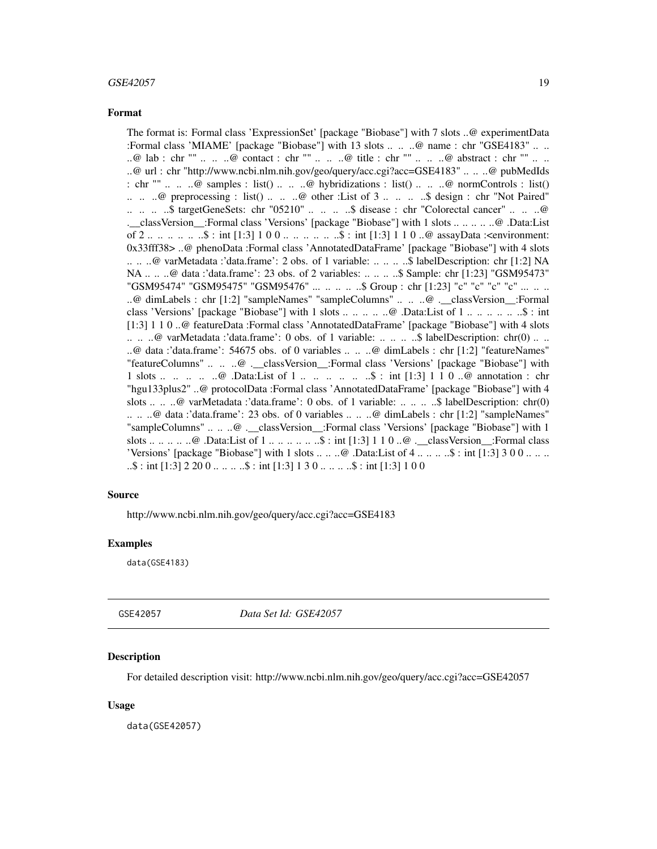#### <span id="page-18-0"></span> $GSE42057$  19

#### Format

The format is: Formal class 'ExpressionSet' [package "Biobase"] with 7 slots ..@ experimentData :Formal class 'MIAME' [package "Biobase"] with 13 slots .. .. ..@ name : chr "GSE4183" .. .. ..@ lab : chr "" .. .. ..@ contact : chr "" .. .. ..@ title : chr "" .. .. ..@ abstract : chr "" .. .. ..@ url : chr "http://www.ncbi.nlm.nih.gov/geo/query/acc.cgi?acc=GSE4183" .. .. ..@ pubMedIds : chr ""  $\ldots$   $\ldots$   $\omega$  samples : list()  $\ldots$   $\ldots$   $\omega$  hybridizations : list()  $\ldots$   $\ldots$   $\omega$  normControls : list()  $\ldots$   $\ldots$   $\omega$  preprocessing : list()  $\ldots$   $\ldots$   $\omega$  other : List of 3  $\ldots$   $\ldots$   $\ldots$   $\omega$  design : chr "Not Paired" .. .. .. ..\$ targetGeneSets: chr "05210" .. .. .. ..\$ disease : chr "Colorectal cancer" .. .. ..@ .\_\_classVersion\_\_:Formal class 'Versions' [package "Biobase"] with 1 slots .. .. .. .. ..@ .Data:List of 2 .. .. .. .. .. ..\$ : int [1:3] 1 0 0 .. .. .. .. .. ..\$ : int [1:3] 1 1 0 ..@ assayData :<environment: 0x33fff38> ..@ phenoData :Formal class 'AnnotatedDataFrame' [package "Biobase"] with 4 slots .. .. ..@ varMetadata :'data.frame': 2 obs. of 1 variable: .. .. .. ..\$ labelDescription: chr [1:2] NA NA .. .. ..@ data :'data.frame': 23 obs. of 2 variables: .. .. .. ..\$ Sample: chr [1:23] "GSM95473" "GSM95474" "GSM95475" "GSM95476" ... .. .. .. ..\$ Group : chr [1:23] "c" "c" "c" "c" ... .. .. ..@ dimLabels : chr [1:2] "sampleNames" "sampleColumns" .. .. ..@ .\_\_classVersion\_\_:Formal class 'Versions' [package "Biobase"] with 1 slots .. .. .. .. ..@ .Data:List of 1 .. .. .. .. .. ..\$ : int [1:3] 1 1 0 ..@ featureData :Formal class 'AnnotatedDataFrame' [package "Biobase"] with 4 slots .. .. ..@ varMetadata :'data.frame': 0 obs. of 1 variable: .. .. .. ..\$ labelDescription: chr(0) .. .. ..@ data :'data.frame': 54675 obs. of 0 variables .. .. ..@ dimLabels : chr [1:2] "featureNames" "featureColumns" .. .. ..@ .\_\_classVersion\_\_:Formal class 'Versions' [package "Biobase"] with 1 slots ... ..  $\ldots$  ...  $\mathcal{Q}$  .Data:List of 1 ... ... ... ... \$ : int [1:3] 1 1 0 .. $\mathcal{Q}$  annotation : chr "hgu133plus2" ..@ protocolData :Formal class 'AnnotatedDataFrame' [package "Biobase"] with 4 slots .. .. ..@ varMetadata :'data.frame': 0 obs. of 1 variable: .. .. .. ..\$ labelDescription: chr(0) .. .. ..@ data :'data.frame': 23 obs. of 0 variables .. .. ..@ dimLabels : chr [1:2] "sampleNames" "sampleColumns" .. .. ..@ . classVersion :Formal class 'Versions' [package "Biobase"] with 1 slots .. .. .. .. ..@ .Data:List of 1 .. .. .. .. .. ..\$ : int [1:3] 1 1 0 ..@ .\_\_classVersion\_\_:Formal class 'Versions' [package "Biobase"] with 1 slots  $\dots \dots \omega$ . Data:List of  $4 \dots \dots \dots \$  : int [1:3] 3 0 0  $\dots \dots$  $\ldots$ \$ : int [1:3] 2 20 0  $\ldots$  ...  $\ldots$ \$ : int [1:3] 1 3 0  $\ldots$  ...  $\ldots$ \$ : int [1:3] 1 0 0

#### Source

http://www.ncbi.nlm.nih.gov/geo/query/acc.cgi?acc=GSE4183

#### Examples

data(GSE4183)

GSE42057 *Data Set Id: GSE42057*

#### **Description**

For detailed description visit: http://www.ncbi.nlm.nih.gov/geo/query/acc.cgi?acc=GSE42057

#### Usage

data(GSE42057)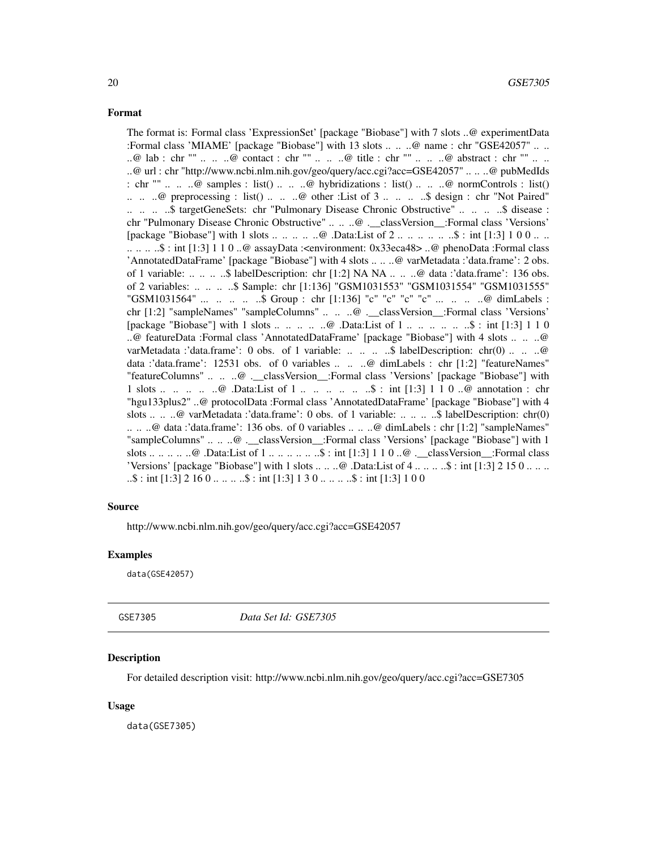<span id="page-19-0"></span>The format is: Formal class 'ExpressionSet' [package "Biobase"] with 7 slots ..@ experimentData :Formal class 'MIAME' [package "Biobase"] with 13 slots .. .. ..@ name : chr "GSE42057" .. .. ..@ lab : chr "" .. .. ..@ contact : chr "" .. .. ..@ title : chr "" .. .. ..@ abstract : chr "" .. .. ..@ url : chr "http://www.ncbi.nlm.nih.gov/geo/query/acc.cgi?acc=GSE42057" .. .. ..@ pubMedIds : chr ""  $\ldots$   $\ldots$   $\omega$  samples : list()  $\ldots$   $\ldots$   $\omega$  hybridizations : list()  $\ldots$   $\ldots$   $\omega$  normControls : list()  $\ldots$   $\ldots$   $\omega$  preprocessing : list()  $\ldots$   $\ldots$   $\omega$  other : List of 3  $\ldots$   $\ldots$   $\ldots$   $\omega$  design : chr "Not Paired" .. .. .. \$ targetGeneSets: chr "Pulmonary Disease Chronic Obstructive" .. .. .. \$ disease : chr "Pulmonary Disease Chronic Obstructive" .. .. ..@ .\_\_classVersion\_\_:Formal class 'Versions' [package "Biobase"] with 1 slots .. .. .. .. .. @ .Data:List of 2 .. .. .. .. .. .. \$ : int [1:3] 1 0 0 .. .. .. .. .. ..\$ : int [1:3] 1 1 0 ..@ assayData :<environment: 0x33eca48> ..@ phenoData :Formal class 'AnnotatedDataFrame' [package "Biobase"] with 4 slots .. .. ..@ varMetadata :'data.frame': 2 obs. of 1 variable: .. .. .. ..\$ labelDescription: chr [1:2] NA NA .. .. ..@ data :'data.frame': 136 obs. of 2 variables: .. .. .. ..\$ Sample: chr [1:136] "GSM1031553" "GSM1031554" "GSM1031555" "GSM1031564" ... .. .. ... \$ Group : chr [1:136] "c" "c" "c" "c" ... .. .. ..@ dimLabels : chr [1:2] "sampleNames" "sampleColumns" .. .. ..@ .\_\_classVersion\_\_:Formal class 'Versions' [package "Biobase"] with 1 slots ... ... ..  $\omega$  .Data:List of 1 ... ... ... ... \$ : int [1:3] 1 1 0 ..@ featureData :Formal class 'AnnotatedDataFrame' [package "Biobase"] with 4 slots .. .. ..@ varMetadata :'data.frame': 0 obs. of 1 variable: .. .. .. .\$ labelDescription: chr(0) .. .. ..@ data :'data.frame': 12531 obs. of 0 variables .. .. ..@ dimLabels : chr [1:2] "featureNames" "featureColumns" .. .. ..@ . classVersion :Formal class 'Versions' [package "Biobase"] with 1 slots ... .. .. .. .@ .Data:List of 1 ... .. ... ... \$ : int [1:3] 1 1 0 ..@ annotation : chr "hgu133plus2" ..@ protocolData :Formal class 'AnnotatedDataFrame' [package "Biobase"] with 4 slots .. .. ..@ varMetadata :'data.frame': 0 obs. of 1 variable: .. .. ... \$ labelDescription: chr(0) .. .. ..@ data :'data.frame': 136 obs. of 0 variables .. .. ..@ dimLabels : chr [1:2] "sampleNames" "sampleColumns" .. .. ..@ .\_\_classVersion\_\_:Formal class 'Versions' [package "Biobase"] with 1 slots .. .. .. .. ..@ .Data:List of 1 .. .. .. .. .. ..\$ : int [1:3] 1 1 0 ..@ .\_\_classVersion\_\_:Formal class 'Versions' [package "Biobase"] with 1 slots  $\dots \dots \omega$ . Data:List of 4  $\dots \dots \dots$ \$ : int [1:3] 2 15 0  $\dots \dots$  $\ldots$ \$ : int [1:3] 2 16 0  $\ldots$   $\ldots$  ...\$ : int [1:3] 1 3 0  $\ldots$   $\ldots$  ...\$ : int [1:3] 1 0 0

#### Source

http://www.ncbi.nlm.nih.gov/geo/query/acc.cgi?acc=GSE42057

#### Examples

data(GSE42057)

GSE7305 *Data Set Id: GSE7305*

#### Description

For detailed description visit: http://www.ncbi.nlm.nih.gov/geo/query/acc.cgi?acc=GSE7305

#### Usage

data(GSE7305)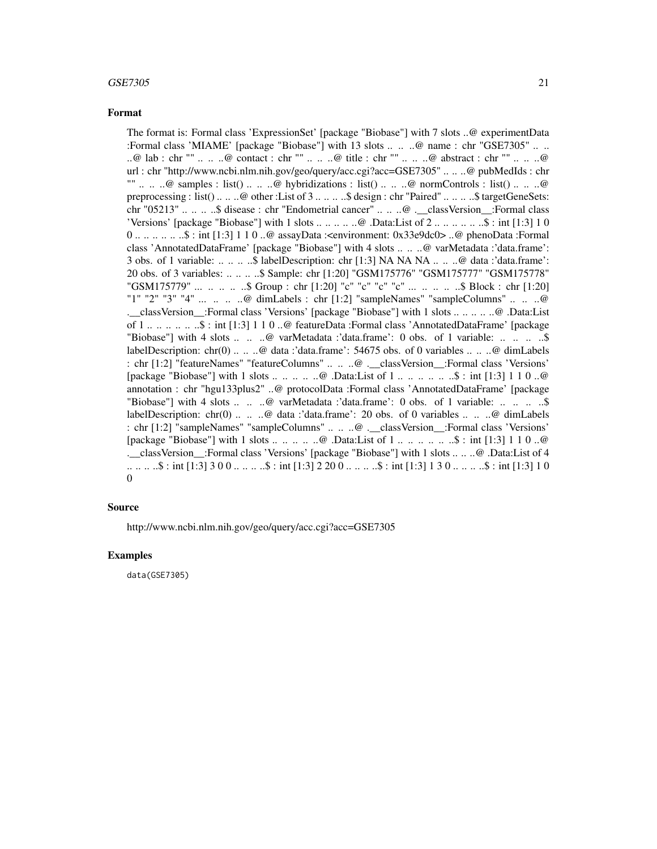#### $GSE7305$  21

#### Format

The format is: Formal class 'ExpressionSet' [package "Biobase"] with 7 slots ..@ experimentData :Formal class 'MIAME' [package "Biobase"] with 13 slots .. .. ..@ name : chr "GSE7305" .. .. ..@ lab : chr "" .. .. ..@ contact : chr "" .. .. ..@ title : chr "" .. .. ..@ abstract : chr "" .. .. ..@ url : chr "http://www.ncbi.nlm.nih.gov/geo/query/acc.cgi?acc=GSE7305" .. .. ..@ pubMedIds : chr ""  $\ldots$   $\ldots$   $\omega$  samples : list()  $\ldots$   $\ldots$   $\omega$  hybridizations : list()  $\ldots$   $\ldots$   $\omega$  normControls : list()  $\ldots$   $\ldots$   $\omega$ preprocessing : list() .. .. ..@ other :List of 3 .. .. .. ..\$ design : chr "Paired" .. .. .. ..\$ targetGeneSets: chr "05213" .. .. .. ..\$ disease : chr "Endometrial cancer" .. .. ..@ .\_\_classVersion\_\_:Formal class 'Versions' [package "Biobase"] with 1 slots .. .. .. .. ..@ .Data:List of 2 .. .. .. .. .. ..\$ : int [1:3] 1 0 0 .. .. .. .. .. ..\$ : int [1:3] 1 1 0 ..@ assayData :<environment: 0x33e9dc0> ..@ phenoData :Formal class 'AnnotatedDataFrame' [package "Biobase"] with 4 slots .. .. ..@ varMetadata :'data.frame': 3 obs. of 1 variable: .. .. .. ..\$ labelDescription: chr [1:3] NA NA NA .. .. ..@ data :'data.frame': 20 obs. of 3 variables: .. .. .. ..\$ Sample: chr [1:20] "GSM175776" "GSM175777" "GSM175778" "GSM175779" ... .. .. .. ..\$ Group : chr [1:20] "c" "c" "c" "c" ... .. .. .. ..\$ Block : chr [1:20] "1" "2" "3" "4" ... .. .. ..@ dimLabels : chr [1:2] "sampleNames" "sampleColumns" .. .. ..@ .\_\_classVersion\_\_:Formal class 'Versions' [package "Biobase"] with 1 slots .. .. .. .. ..@ .Data:List of 1 .. .. .. .. .. ..\$ : int [1:3] 1 1 0 ..@ featureData :Formal class 'AnnotatedDataFrame' [package "Biobase"] with 4 slots .. .. ..@ varMetadata :'data.frame': 0 obs. of 1 variable: .. .. ... ...\$ labelDescription: chr(0) .. .. ..@ data :'data.frame': 54675 obs. of 0 variables .. .. ..@ dimLabels : chr [1:2] "featureNames" "featureColumns" .. .. ..@ .\_\_classVersion\_\_:Formal class 'Versions' [package "Biobase"] with 1 slots .. .. .. .. ..@ .Data:List of 1 .. .. .. .. .. ..\$ : int [1:3] 1 1 0 ..@ annotation : chr "hgu133plus2" ..@ protocolData :Formal class 'AnnotatedDataFrame' [package "Biobase"] with 4 slots ... .. .. @ varMetadata :'data.frame': 0 obs. of 1 variable: ... .. .. .. ... ... ... labelDescription: chr(0) .. .. ..@ data :'data.frame': 20 obs. of 0 variables .. .. ..@ dimLabels : chr [1:2] "sampleNames" "sampleColumns" .. .. ..@ .\_\_classVersion\_\_:Formal class 'Versions' [package "Biobase"] with 1 slots .. .. .. .. ..@ .Data:List of 1 .. .. .. .. .. ..\$ : int [1:3] 1 1 0 ..@ .\_\_classVersion\_\_:Formal class 'Versions' [package "Biobase"] with 1 slots .. .. ..@ .Data:List of 4 .. .. .. ..\$ : int [1:3] 3 0 0 .. .. .. ..\$ : int [1:3] 2 20 0 .. .. .. ..\$ : int [1:3] 1 3 0 .. .. .. ..\$ : int [1:3] 1 0 0

#### Source

http://www.ncbi.nlm.nih.gov/geo/query/acc.cgi?acc=GSE7305

#### Examples

data(GSE7305)